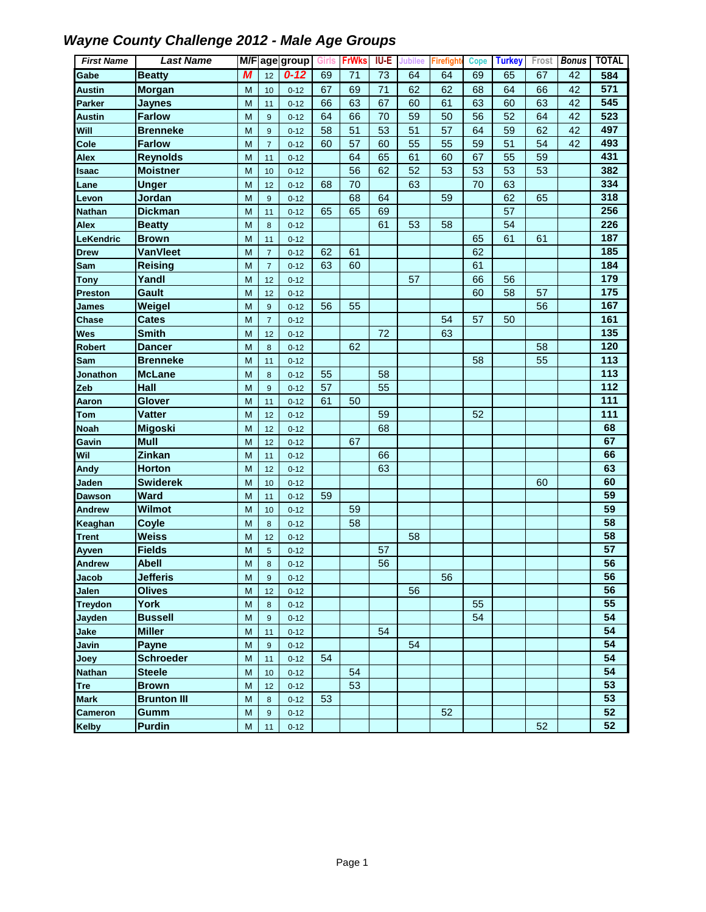| <b>First Name</b> | <b>Last Name</b>   |   |                | M/F age group | Girls | <b>FrWks</b> | <b>IU-E</b> | Jubilee | Firefigh | Cope | <b>Turkey</b> | Frost | <b>Bonus</b> | <b>TOTAL</b> |
|-------------------|--------------------|---|----------------|---------------|-------|--------------|-------------|---------|----------|------|---------------|-------|--------------|--------------|
| Gabe              | <b>Beatty</b>      | М | 12             | $0 - 12$      | 69    | 71           | 73          | 64      | 64       | 69   | 65            | 67    | 42           | 584          |
| <b>Austin</b>     | <b>Morgan</b>      | M | 10             | $0 - 12$      | 67    | 69           | 71          | 62      | 62       | 68   | 64            | 66    | 42           | 571          |
| <b>Parker</b>     | <b>Jaynes</b>      | M | 11             | $0 - 12$      | 66    | 63           | 67          | 60      | 61       | 63   | 60            | 63    | 42           | 545          |
| <b>Austin</b>     | <b>Farlow</b>      | M | 9              | $0 - 12$      | 64    | 66           | 70          | 59      | 50       | 56   | 52            | 64    | 42           | 523          |
| Will              | <b>Brenneke</b>    | M | 9              | $0 - 12$      | 58    | 51           | 53          | 51      | 57       | 64   | 59            | 62    | 42           | 497          |
| Cole              | <b>Farlow</b>      | M | $\overline{7}$ | $0 - 12$      | 60    | 57           | 60          | 55      | 55       | 59   | 51            | 54    | 42           | 493          |
| Alex              | <b>Reynolds</b>    | M | 11             | $0 - 12$      |       | 64           | 65          | 61      | 60       | 67   | 55            | 59    |              | 431          |
| <b>Isaac</b>      | <b>Moistner</b>    | M | 10             | $0 - 12$      |       | 56           | 62          | 52      | 53       | 53   | 53            | 53    |              | 382          |
| Lane              | <b>Unger</b>       | M | 12             | $0 - 12$      | 68    | 70           |             | 63      |          | 70   | 63            |       |              | 334          |
| Levon             | Jordan             | M | $9\,$          | $0 - 12$      |       | 68           | 64          |         | 59       |      | 62            | 65    |              | 318          |
| <b>Nathan</b>     | <b>Dickman</b>     | M | 11             | $0 - 12$      | 65    | 65           | 69          |         |          |      | 57            |       |              | 256          |
| <b>Alex</b>       | <b>Beatty</b>      | M | 8              | $0 - 12$      |       |              | 61          | 53      | 58       |      | 54            |       |              | 226          |
| LeKendric         | <b>Brown</b>       | M | 11             | $0 - 12$      |       |              |             |         |          | 65   | 61            | 61    |              | 187          |
| <b>Drew</b>       | <b>VanVleet</b>    | M | $\overline{7}$ | $0 - 12$      | 62    | 61           |             |         |          | 62   |               |       |              | 185          |
| Sam               | <b>Reising</b>     | M | $\overline{7}$ | $0 - 12$      | 63    | 60           |             |         |          | 61   |               |       |              | 184          |
| <b>Tony</b>       | Yandl              | M | 12             | $0 - 12$      |       |              |             | 57      |          | 66   | 56            |       |              | 179          |
| <b>Preston</b>    | Gault              | M | 12             | $0 - 12$      |       |              |             |         |          | 60   | 58            | 57    |              | 175          |
| James             | Weigel             | M | 9              | $0 - 12$      | 56    | 55           |             |         |          |      |               | 56    |              | 167          |
| Chase             | <b>Cates</b>       | M | $\overline{7}$ | $0 - 12$      |       |              |             |         | 54       | 57   | 50            |       |              | 161          |
| <b>Wes</b>        | <b>Smith</b>       | M | 12             | $0 - 12$      |       |              | 72          |         | 63       |      |               |       |              | 135          |
| <b>Robert</b>     | Dancer             | M | 8              | $0 - 12$      |       | 62           |             |         |          |      |               | 58    |              | 120          |
| Sam               | <b>Brenneke</b>    | M | 11             | $0 - 12$      |       |              |             |         |          | 58   |               | 55    |              | 113          |
| Jonathon          | <b>McLane</b>      | M | 8              | $0 - 12$      | 55    |              | 58          |         |          |      |               |       |              | 113          |
| Zeb               | Hall               | M | 9              | $0 - 12$      | 57    |              | 55          |         |          |      |               |       |              | 112          |
| Aaron             | Glover             | M | 11             | $0 - 12$      | 61    | 50           |             |         |          |      |               |       |              | 111          |
| <b>Tom</b>        | <b>Vatter</b>      | M | 12             | $0 - 12$      |       |              | 59          |         |          | 52   |               |       |              | 111          |
| <b>Noah</b>       | <b>Migoski</b>     | M | 12             | $0 - 12$      |       |              | 68          |         |          |      |               |       |              | 68           |
| Gavin             | <b>Mull</b>        | M | 12             | $0 - 12$      |       | 67           |             |         |          |      |               |       |              | 67           |
| Wil               | Zinkan             | M | 11             | $0 - 12$      |       |              | 66          |         |          |      |               |       |              | 66           |
| Andy              | <b>Horton</b>      | M | 12             | $0 - 12$      |       |              | 63          |         |          |      |               |       |              | 63           |
| Jaden             | <b>Swiderek</b>    | M | 10             | $0 - 12$      |       |              |             |         |          |      |               | 60    |              | 60           |
| <b>Dawson</b>     | Ward               | M | 11             | $0 - 12$      | 59    |              |             |         |          |      |               |       |              | 59           |
| <b>Andrew</b>     | Wilmot             | M | 10             | $0 - 12$      |       | 59           |             |         |          |      |               |       |              | 59           |
| Keaghan           | Coyle              | M | 8              | $0 - 12$      |       | 58           |             |         |          |      |               |       |              | 58           |
| <b>Trent</b>      | <b>Weiss</b>       | M | 12             | $0 - 12$      |       |              |             | 58      |          |      |               |       |              | 58           |
| Ayven             | <b>Fields</b>      | M | $\overline{5}$ | $0 - 12$      |       |              | 57          |         |          |      |               |       |              | 57           |
| <b>Andrew</b>     | <b>Abell</b>       | M | 8              | $0 - 12$      |       |              | 56          |         |          |      |               |       |              | 56           |
| Jacob             | <b>Jefferis</b>    | M | 9              | $0 - 12$      |       |              |             |         | 56       |      |               |       |              | 56           |
| <b>Jalen</b>      | <b>Olives</b>      | M | 12             | $0 - 12$      |       |              |             | 56      |          |      |               |       |              | 56           |
| <b>Treydon</b>    | York               | M | 8              | $0 - 12$      |       |              |             |         |          | 55   |               |       |              | 55           |
| Jayden            | <b>Bussell</b>     | M | 9              | $0 - 12$      |       |              |             |         |          | 54   |               |       |              | 54           |
| Jake              | <b>Miller</b>      | M | 11             | $0 - 12$      |       |              | 54          |         |          |      |               |       |              | 54           |
| Javin             | <b>Payne</b>       | M | 9              | $0 - 12$      |       |              |             | 54      |          |      |               |       |              | 54           |
| Joey              | <b>Schroeder</b>   | M | 11             | $0 - 12$      | 54    |              |             |         |          |      |               |       |              | 54           |
| <b>Nathan</b>     | <b>Steele</b>      | M | 10             | $0 - 12$      |       | 54           |             |         |          |      |               |       |              | 54           |
| Tre               | <b>Brown</b>       | M | 12             | $0 - 12$      |       | 53           |             |         |          |      |               |       |              | 53           |
| <b>Mark</b>       | <b>Brunton III</b> | M | 8              | $0 - 12$      | 53    |              |             |         |          |      |               |       |              | 53           |
| <b>Cameron</b>    | Gumm               | M | 9              | $0 - 12$      |       |              |             |         | 52       |      |               |       |              | 52           |
| <b>Kelby</b>      | <b>Purdin</b>      | M | 11             | $0 - 12$      |       |              |             |         |          |      |               | 52    |              | 52           |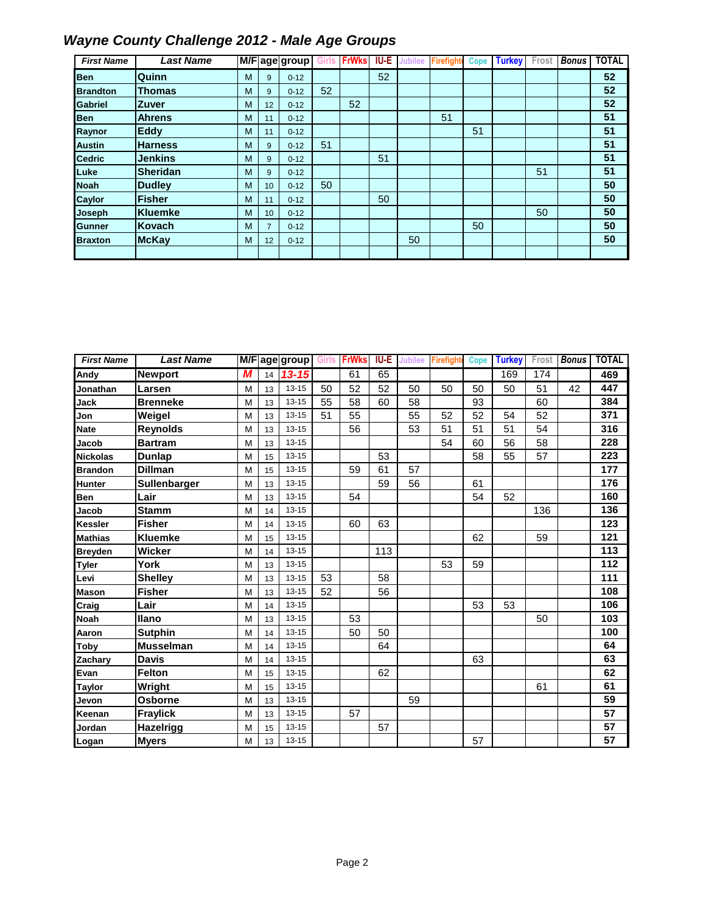| <b>First Name</b> | <b>Last Name</b> |   |                | M/F age group |    | <b>FrWks</b> | IU-E | ıbilee | <b>Firefight</b> | Cope | <b>Turkey</b> | Frost | <b>Bonus</b> | <b>TOTAL</b> |
|-------------------|------------------|---|----------------|---------------|----|--------------|------|--------|------------------|------|---------------|-------|--------------|--------------|
| <b>Ben</b>        | Quinn            | М | 9              | $0 - 12$      |    |              | 52   |        |                  |      |               |       |              | 52           |
| <b>Brandton</b>   | <b>Thomas</b>    | М | 9              | $0 - 12$      | 52 |              |      |        |                  |      |               |       |              | 52           |
| Gabriel           | <b>Zuver</b>     | М | 12             | $0 - 12$      |    | 52           |      |        |                  |      |               |       |              | 52           |
| <b>Ben</b>        | <b>Ahrens</b>    | м | 11             | $0 - 12$      |    |              |      |        | 51               |      |               |       |              | 51           |
| Raynor            | Eddy             | м | 11             | $0 - 12$      |    |              |      |        |                  | 51   |               |       |              | 51           |
| <b>Austin</b>     | <b>Harness</b>   | м | 9              | $0 - 12$      | 51 |              |      |        |                  |      |               |       |              | 51           |
| <b>Cedric</b>     | <b>Jenkins</b>   | м | 9              | $0 - 12$      |    |              | 51   |        |                  |      |               |       |              | 51           |
| Luke              | <b>Sheridan</b>  | м | 9              | $0 - 12$      |    |              |      |        |                  |      |               | 51    |              | 51           |
| <b>Noah</b>       | <b>Dudley</b>    | м | 10             | $0 - 12$      | 50 |              |      |        |                  |      |               |       |              | 50           |
| <b>Caylor</b>     | <b>Fisher</b>    | M | 11             | $0 - 12$      |    |              | 50   |        |                  |      |               |       |              | 50           |
| <b>Joseph</b>     | <b>Kluemke</b>   | м | 10             | $0 - 12$      |    |              |      |        |                  |      |               | 50    |              | 50           |
| <b>Gunner</b>     | Kovach           | м | $\overline{7}$ | $0 - 12$      |    |              |      |        |                  | 50   |               |       |              | 50           |
| <b>Braxton</b>    | <b>McKay</b>     | м | 12             | $0 - 12$      |    |              |      | 50     |                  |      |               |       |              | 50           |
|                   |                  |   |                |               |    |              |      |        |                  |      |               |       |              |              |

| <b>First Name</b> | <b>Last Name</b> |   |    | M/F age group Girls |    | <b>FrWks</b> | <b>IU-E</b> | <b>Jubilee</b> | Firefight | <b>Cope</b> | <b>Turkey</b> | Frost | <b>Bonus</b> | <b>TOTAL</b> |
|-------------------|------------------|---|----|---------------------|----|--------------|-------------|----------------|-----------|-------------|---------------|-------|--------------|--------------|
| Andy              | <b>Newport</b>   | М | 14 | $13 - 15$           |    | 61           | 65          |                |           |             | 169           | 174   |              | 469          |
| Jonathan          | Larsen           | M | 13 | $13 - 15$           | 50 | 52           | 52          | 50             | 50        | 50          | 50            | 51    | 42           | 447          |
| Jack              | <b>Brenneke</b>  | M | 13 | $13 - 15$           | 55 | 58           | 60          | 58             |           | 93          |               | 60    |              | 384          |
| Jon               | Weigel           | M | 13 | $13 - 15$           | 51 | 55           |             | 55             | 52        | 52          | 54            | 52    |              | 371          |
| Nate              | <b>Reynolds</b>  | M | 13 | $13 - 15$           |    | 56           |             | 53             | 51        | 51          | 51            | 54    |              | 316          |
| Jacob             | <b>Bartram</b>   | M | 13 | $13 - 15$           |    |              |             |                | 54        | 60          | 56            | 58    |              | 228          |
| <b>Nickolas</b>   | Dunlap           | M | 15 | $13 - 15$           |    |              | 53          |                |           | 58          | 55            | 57    |              | 223          |
| <b>Brandon</b>    | <b>Dillman</b>   | M | 15 | $13 - 15$           |    | 59           | 61          | 57             |           |             |               |       |              | 177          |
| <b>Hunter</b>     | Sullenbarger     | M | 13 | $13 - 15$           |    |              | 59          | 56             |           | 61          |               |       |              | 176          |
| <b>Ben</b>        | Lair             | M | 13 | $13 - 15$           |    | 54           |             |                |           | 54          | 52            |       |              | 160          |
| Jacob             | <b>Stamm</b>     | M | 14 | $13 - 15$           |    |              |             |                |           |             |               | 136   |              | 136          |
| <b>Kessler</b>    | <b>Fisher</b>    | M | 14 | $13 - 15$           |    | 60           | 63          |                |           |             |               |       |              | 123          |
| <b>Mathias</b>    | <b>Kluemke</b>   | M | 15 | $13 - 15$           |    |              |             |                |           | 62          |               | 59    |              | 121          |
| <b>Breyden</b>    | Wicker           | M | 14 | $13 - 15$           |    |              | 113         |                |           |             |               |       |              | 113          |
| <b>Tyler</b>      | York             | M | 13 | $13 - 15$           |    |              |             |                | 53        | 59          |               |       |              | 112          |
| Levi              | <b>Shelley</b>   | M | 13 | $13 - 15$           | 53 |              | 58          |                |           |             |               |       |              | 111          |
| <b>Mason</b>      | <b>Fisher</b>    | M | 13 | $13 - 15$           | 52 |              | 56          |                |           |             |               |       |              | 108          |
| Craig             | Lair             | M | 14 | $13 - 15$           |    |              |             |                |           | 53          | 53            |       |              | 106          |
| <b>Noah</b>       | llano            | M | 13 | $13 - 15$           |    | 53           |             |                |           |             |               | 50    |              | 103          |
| Aaron             | <b>Sutphin</b>   | M | 14 | $13 - 15$           |    | 50           | 50          |                |           |             |               |       |              | 100          |
| <b>Toby</b>       | <b>Musselman</b> | M | 14 | $13 - 15$           |    |              | 64          |                |           |             |               |       |              | 64           |
| Zachary           | <b>Davis</b>     | M | 14 | $13 - 15$           |    |              |             |                |           | 63          |               |       |              | 63           |
| Evan              | <b>Felton</b>    | M | 15 | $13 - 15$           |    |              | 62          |                |           |             |               |       |              | 62           |
| <b>Taylor</b>     | Wright           | M | 15 | $13 - 15$           |    |              |             |                |           |             |               | 61    |              | 61           |
| Jevon             | <b>Osborne</b>   | M | 13 | $13 - 15$           |    |              |             | 59             |           |             |               |       |              | 59           |
| Keenan            | <b>Fraylick</b>  | M | 13 | $13 - 15$           |    | 57           |             |                |           |             |               |       |              | 57           |
| Jordan            | Hazelrigg        | M | 15 | $13 - 15$           |    |              | 57          |                |           |             |               |       |              | 57           |
| Logan             | <b>Myers</b>     | M | 13 | $13 - 15$           |    |              |             |                |           | 57          |               |       |              | 57           |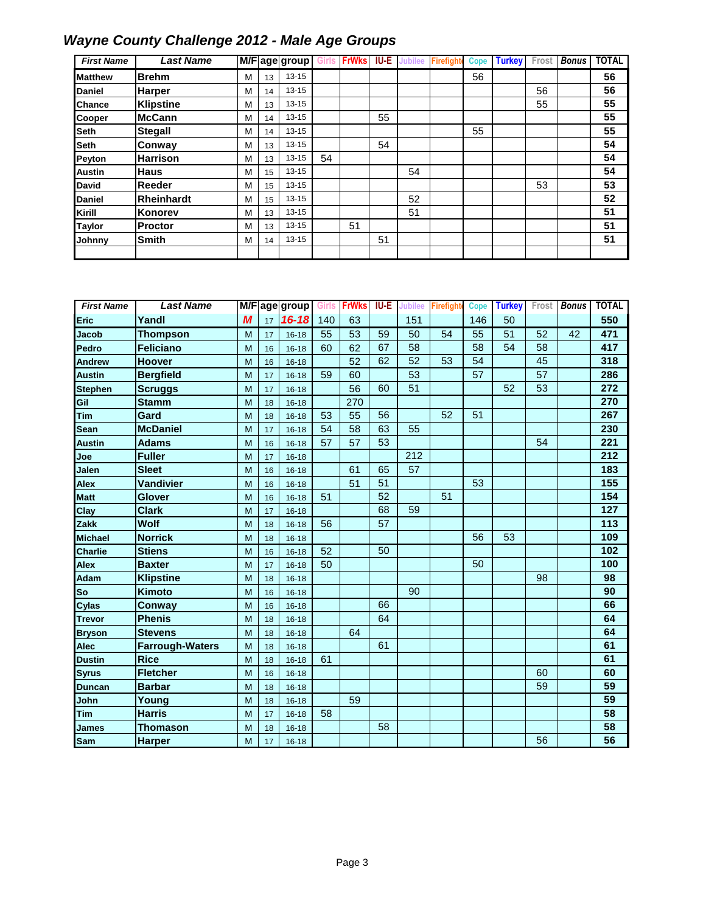| <b>First Name</b> | <b>Last Name</b>  |   |    | M/F age group |    | <b>FrWks</b> | <b>IU-E</b> | Jubilee | Firefight | Cope | <b>Turkey</b> | Frost | <b>Bonus</b> | <b>TOTAL</b> |
|-------------------|-------------------|---|----|---------------|----|--------------|-------------|---------|-----------|------|---------------|-------|--------------|--------------|
| <b>Matthew</b>    | <b>Brehm</b>      | M | 13 | $13 - 15$     |    |              |             |         |           | 56   |               |       |              | 56           |
| <b>Daniel</b>     | <b>Harper</b>     | M | 14 | $13 - 15$     |    |              |             |         |           |      |               | 56    |              | 56           |
| <b>Chance</b>     | <b>Klipstine</b>  | M | 13 | $13 - 15$     |    |              |             |         |           |      |               | 55    |              | 55           |
| Cooper            | <b>McCann</b>     | м | 14 | $13 - 15$     |    |              | 55          |         |           |      |               |       |              | 55           |
| <b>Seth</b>       | <b>Stegall</b>    | м | 14 | $13 - 15$     |    |              |             |         |           | 55   |               |       |              | 55           |
| <b>Seth</b>       | Conway            | м | 13 | $13 - 15$     |    |              | 54          |         |           |      |               |       |              | 54           |
| Peyton            | <b>Harrison</b>   | M | 13 | $13 - 15$     | 54 |              |             |         |           |      |               |       |              | 54           |
| <b>Austin</b>     | <b>Haus</b>       | M | 15 | $13 - 15$     |    |              |             | 54      |           |      |               |       |              | 54           |
| <b>David</b>      | Reeder            | M | 15 | $13 - 15$     |    |              |             |         |           |      |               | 53    |              | 53           |
| <b>Daniel</b>     | <b>Rheinhardt</b> | M | 15 | $13 - 15$     |    |              |             | 52      |           |      |               |       |              | 52           |
| Kirill            | Konorev           | M | 13 | $13 - 15$     |    |              |             | 51      |           |      |               |       |              | 51           |
| Taylor            | Proctor           | M | 13 | $13 - 15$     |    | 51           |             |         |           |      |               |       |              | 51           |
| Johnny            | <b>Smith</b>      | M | 14 | $13 - 15$     |    |              | 51          |         |           |      |               |       |              | 51           |
|                   |                   |   |    |               |    |              |             |         |           |      |               |       |              |              |

| <b>First Name</b> | <b>Last Name</b>       |   |    | M/Fage group | Girls | <b>FrWks</b> | <b>IU-E</b> | <b>Jubilee</b> | Firefight | <b>Cope</b> | <b>Turkey</b> | Frost | <b>Bonus</b> | <b>TOTAL</b> |
|-------------------|------------------------|---|----|--------------|-------|--------------|-------------|----------------|-----------|-------------|---------------|-------|--------------|--------------|
| Eric              | Yandl                  | M | 17 | $16 - 18$    | 140   | 63           |             | 151            |           | 146         | 50            |       |              | 550          |
| <b>Jacob</b>      | <b>Thompson</b>        | M | 17 | $16 - 18$    | 55    | 53           | 59          | 50             | 54        | 55          | 51            | 52    | 42           | 471          |
| Pedro             | <b>Feliciano</b>       | M | 16 | $16 - 18$    | 60    | 62           | 67          | 58             |           | 58          | 54            | 58    |              | 417          |
| <b>Andrew</b>     | <b>Hoover</b>          | M | 16 | $16 - 18$    |       | 52           | 62          | 52             | 53        | 54          |               | 45    |              | 318          |
| <b>Austin</b>     | <b>Bergfield</b>       | M | 17 | $16 - 18$    | 59    | 60           |             | 53             |           | 57          |               | 57    |              | 286          |
| <b>Stephen</b>    | <b>Scruggs</b>         | M | 17 | $16 - 18$    |       | 56           | 60          | 51             |           |             | 52            | 53    |              | 272          |
| Gil               | <b>Stamm</b>           | M | 18 | $16 - 18$    |       | 270          |             |                |           |             |               |       |              | 270          |
| Tim               | Gard                   | M | 18 | $16 - 18$    | 53    | 55           | 56          |                | 52        | 51          |               |       |              | 267          |
| Sean              | <b>McDaniel</b>        | M | 17 | $16 - 18$    | 54    | 58           | 63          | 55             |           |             |               |       |              | 230          |
| <b>Austin</b>     | <b>Adams</b>           | M | 16 | $16 - 18$    | 57    | 57           | 53          |                |           |             |               | 54    |              | 221          |
| Joe               | <b>Fuller</b>          | M | 17 | $16 - 18$    |       |              |             | 212            |           |             |               |       |              | 212          |
| Jalen             | <b>Sleet</b>           | M | 16 | $16 - 18$    |       | 61           | 65          | 57             |           |             |               |       |              | 183          |
| Alex              | <b>Vandivier</b>       | M | 16 | $16 - 18$    |       | 51           | 51          |                |           | 53          |               |       |              | 155          |
| <b>Matt</b>       | Glover                 | M | 16 | $16 - 18$    | 51    |              | 52          |                | 51        |             |               |       |              | 154          |
| Clay              | <b>Clark</b>           | M | 17 | $16 - 18$    |       |              | 68          | 59             |           |             |               |       |              | 127          |
| <b>Zakk</b>       | <b>Wolf</b>            | M | 18 | $16 - 18$    | 56    |              | 57          |                |           |             |               |       |              | 113          |
| <b>Michael</b>    | <b>Norrick</b>         | M | 18 | $16 - 18$    |       |              |             |                |           | 56          | 53            |       |              | 109          |
| <b>Charlie</b>    | <b>Stiens</b>          | M | 16 | $16 - 18$    | 52    |              | 50          |                |           |             |               |       |              | 102          |
| <b>Alex</b>       | <b>Baxter</b>          | M | 17 | $16 - 18$    | 50    |              |             |                |           | 50          |               |       |              | 100          |
| Adam              | <b>Klipstine</b>       | M | 18 | $16 - 18$    |       |              |             |                |           |             |               | 98    |              | 98           |
| So                | Kimoto                 | M | 16 | $16 - 18$    |       |              |             | 90             |           |             |               |       |              | 90           |
| Cylas             | <b>Conway</b>          | M | 16 | $16 - 18$    |       |              | 66          |                |           |             |               |       |              | 66           |
| <b>Trevor</b>     | <b>Phenis</b>          | M | 18 | $16 - 18$    |       |              | 64          |                |           |             |               |       |              | 64           |
| <b>Bryson</b>     | <b>Stevens</b>         | M | 18 | $16 - 18$    |       | 64           |             |                |           |             |               |       |              | 64           |
| <b>Alec</b>       | <b>Farrough-Waters</b> | M | 18 | $16 - 18$    |       |              | 61          |                |           |             |               |       |              | 61           |
| <b>Dustin</b>     | <b>Rice</b>            | M | 18 | $16 - 18$    | 61    |              |             |                |           |             |               |       |              | 61           |
| <b>Syrus</b>      | <b>Fletcher</b>        | M | 16 | $16 - 18$    |       |              |             |                |           |             |               | 60    |              | 60           |
| <b>Duncan</b>     | <b>Barbar</b>          | M | 18 | $16 - 18$    |       |              |             |                |           |             |               | 59    |              | 59           |
| John              | Young                  | M | 18 | $16 - 18$    |       | 59           |             |                |           |             |               |       |              | 59           |
| Tim               | <b>Harris</b>          | M | 17 | $16 - 18$    | 58    |              |             |                |           |             |               |       |              | 58           |
| James             | <b>Thomason</b>        | M | 18 | $16 - 18$    |       |              | 58          |                |           |             |               |       |              | 58           |
| <b>Sam</b>        | <b>Harper</b>          | M | 17 | $16 - 18$    |       |              |             |                |           |             |               | 56    |              | 56           |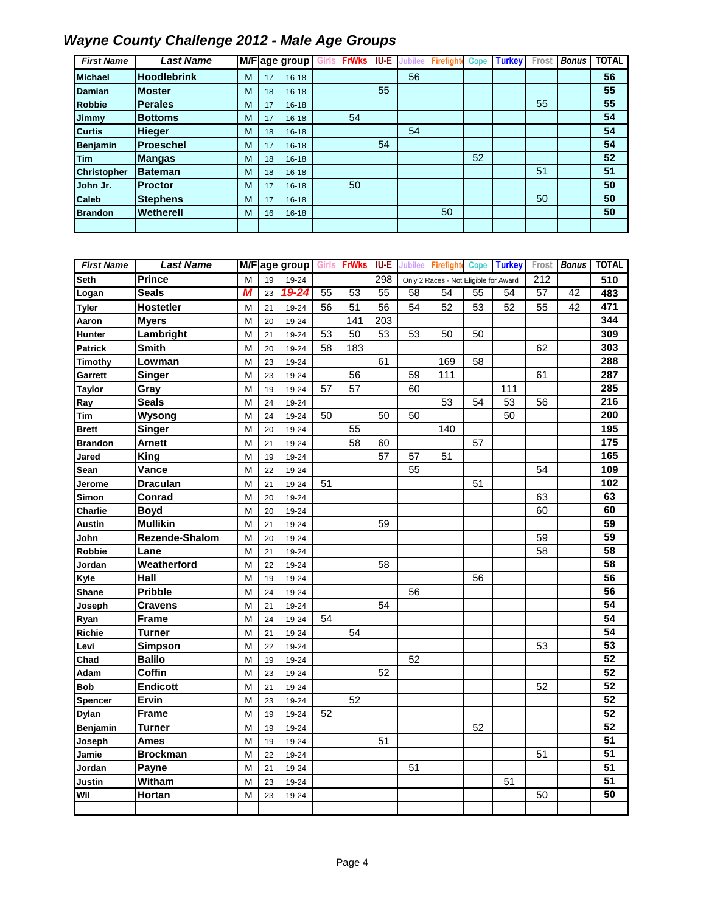| <b>First Name</b>  | <b>Last Name</b>   |   |    | M/Fage group | <b>FrWks</b> | IU-E | <b>Jubilee</b> | <b>Firefight</b> | <b>Cope</b> | <b>Turkey</b> | ⊦rost | <b>Bonus</b> | <b>TOTAL</b> |
|--------------------|--------------------|---|----|--------------|--------------|------|----------------|------------------|-------------|---------------|-------|--------------|--------------|
| <b>Michael</b>     | <b>Hoodlebrink</b> | M | 17 | $16 - 18$    |              |      | 56             |                  |             |               |       |              | 56           |
| <b>Damian</b>      | <b>Moster</b>      | M | 18 | $16 - 18$    |              | 55   |                |                  |             |               |       |              | 55           |
| <b>Robbie</b>      | <b>Perales</b>     | M | 17 | $16 - 18$    |              |      |                |                  |             |               | 55    |              | 55           |
| Jimmy              | <b>Bottoms</b>     | M | 17 | $16 - 18$    | 54           |      |                |                  |             |               |       |              | 54           |
| <b>Curtis</b>      | <b>Hieger</b>      | M | 18 | $16 - 18$    |              |      | 54             |                  |             |               |       |              | 54           |
| <b>Benjamin</b>    | <b>Proeschel</b>   | M | 17 | $16 - 18$    |              | 54   |                |                  |             |               |       |              | 54           |
| Tim                | <b>Mangas</b>      | M | 18 | $16 - 18$    |              |      |                |                  | 52          |               |       |              | 52           |
| <b>Christopher</b> | <b>Bateman</b>     | M | 18 | $16 - 18$    |              |      |                |                  |             |               | 51    |              | 51           |
| John Jr.           | <b>Proctor</b>     | M | 17 | $16 - 18$    | 50           |      |                |                  |             |               |       |              | 50           |
| Caleb              | <b>Stephens</b>    | M | 17 | $16 - 18$    |              |      |                |                  |             |               | 50    |              | 50           |
| <b>Brandon</b>     | Wetherell          | M | 16 | $16 - 18$    |              |      |                | 50               |             |               |       |              | 50           |
|                    |                    |   |    |              |              |      |                |                  |             |               |       |              |              |

| <b>First Name</b> | <b>Last Name</b> |   |    | M/F age group |    | Girls FrWks     | <b>IU-E</b> |    |                                       |    | Jubilee Firefight Cope Turkey | Frost            | <b>Bonus</b> | <b>TOTAL</b>    |
|-------------------|------------------|---|----|---------------|----|-----------------|-------------|----|---------------------------------------|----|-------------------------------|------------------|--------------|-----------------|
| <b>Seth</b>       | <b>Prince</b>    | M | 19 | 19-24         |    |                 | 298         |    | Only 2 Races - Not Eligible for Award |    |                               | $\overline{212}$ |              | 510             |
| Logan             | <b>Seals</b>     | М | 23 | 19-24         | 55 | $\overline{53}$ | 55          | 58 | 54                                    | 55 | 54                            | 57               | 42           | 483             |
| <b>Tyler</b>      | <b>Hostetler</b> | M | 21 | 19-24         | 56 | 51              | 56          | 54 | 52                                    | 53 | 52                            | 55               | 42           | 471             |
| Aaron             | <b>Myers</b>     | M | 20 | 19-24         |    | 141             | 203         |    |                                       |    |                               |                  |              | 344             |
| Hunter            | Lambright        | M | 21 | 19-24         | 53 | 50              | 53          | 53 | 50                                    | 50 |                               |                  |              | 309             |
| <b>Patrick</b>    | <b>Smith</b>     | M | 20 | 19-24         | 58 | 183             |             |    |                                       |    |                               | 62               |              | 303             |
| <b>Timothy</b>    | Lowman           | M | 23 | 19-24         |    |                 | 61          |    | 169                                   | 58 |                               |                  |              | 288             |
| Garrett           | <b>Singer</b>    | M | 23 | 19-24         |    | 56              |             | 59 | 111                                   |    |                               | 61               |              | 287             |
| <b>Taylor</b>     | Gray             | M | 19 | 19-24         | 57 | 57              |             | 60 |                                       |    | 111                           |                  |              | 285             |
| Ray               | <b>Seals</b>     | M | 24 | 19-24         |    |                 |             |    | 53                                    | 54 | 53                            | 56               |              | 216             |
| Tim               | Wysong           | M | 24 | 19-24         | 50 |                 | 50          | 50 |                                       |    | 50                            |                  |              | 200             |
| <b>Brett</b>      | <b>Singer</b>    | M | 20 | 19-24         |    | 55              |             |    | 140                                   |    |                               |                  |              | 195             |
| <b>Brandon</b>    | <b>Arnett</b>    | M | 21 | 19-24         |    | 58              | 60          |    |                                       | 57 |                               |                  |              | 175             |
| Jared             | King             | M | 19 | 19-24         |    |                 | 57          | 57 | 51                                    |    |                               |                  |              | 165             |
| Sean              | Vance            | М | 22 | 19-24         |    |                 |             | 55 |                                       |    |                               | 54               |              | 109             |
| Jerome            | <b>Draculan</b>  | M | 21 | 19-24         | 51 |                 |             |    |                                       | 51 |                               |                  |              | 102             |
| Simon             | Conrad           | M | 20 | 19-24         |    |                 |             |    |                                       |    |                               | 63               |              | 63              |
| Charlie           | <b>Boyd</b>      | M | 20 | 19-24         |    |                 |             |    |                                       |    |                               | 60               |              | 60              |
| <b>Austin</b>     | <b>Mullikin</b>  | M | 21 | 19-24         |    |                 | 59          |    |                                       |    |                               |                  |              | 59              |
| John              | Rezende-Shalom   | M | 20 | 19-24         |    |                 |             |    |                                       |    |                               | 59               |              | 59              |
| Robbie            | Lane             | M | 21 | 19-24         |    |                 |             |    |                                       |    |                               | 58               |              | 58              |
| Jordan            | Weatherford      | M | 22 | 19-24         |    |                 | 58          |    |                                       |    |                               |                  |              | 58              |
| Kyle              | Hall             | M | 19 | 19-24         |    |                 |             |    |                                       | 56 |                               |                  |              | $\overline{56}$ |
| <b>Shane</b>      | <b>Pribble</b>   | M | 24 | 19-24         |    |                 |             | 56 |                                       |    |                               |                  |              | 56              |
| Joseph            | Cravens          | М | 21 | 19-24         |    |                 | 54          |    |                                       |    |                               |                  |              | $\overline{54}$ |
| Ryan              | Frame            | M | 24 | 19-24         | 54 |                 |             |    |                                       |    |                               |                  |              | 54              |
| Richie            | Turner           | M | 21 | 19-24         |    | 54              |             |    |                                       |    |                               |                  |              | 54              |
| Levi              | <b>Simpson</b>   | M | 22 | 19-24         |    |                 |             |    |                                       |    |                               | 53               |              | 53              |
| Chad              | <b>Balilo</b>    | M | 19 | 19-24         |    |                 |             | 52 |                                       |    |                               |                  |              | 52              |
| Adam              | Coffin           | M | 23 | 19-24         |    |                 | 52          |    |                                       |    |                               |                  |              | $\overline{52}$ |
| <b>Bob</b>        | <b>Endicott</b>  | M | 21 | 19-24         |    |                 |             |    |                                       |    |                               | 52               |              | 52              |
| Spencer           | Ervin            | M | 23 | 19-24         |    | 52              |             |    |                                       |    |                               |                  |              | 52              |
| <b>Dylan</b>      | <b>Frame</b>     | M | 19 | 19-24         | 52 |                 |             |    |                                       |    |                               |                  |              | 52              |
| Benjamin          | <b>Turner</b>    | М | 19 | 19-24         |    |                 |             |    |                                       | 52 |                               |                  |              | 52              |
| Joseph            | Ames             | M | 19 | 19-24         |    |                 | 51          |    |                                       |    |                               |                  |              | 51              |
| Jamie             | <b>Brockman</b>  | M | 22 | 19-24         |    |                 |             |    |                                       |    |                               | 51               |              | $\overline{51}$ |
| Jordan            | Payne            | M | 21 | 19-24         |    |                 |             | 51 |                                       |    |                               |                  |              | 51              |
| Justin            | Witham           | M | 23 | 19-24         |    |                 |             |    |                                       |    | 51                            |                  |              | $\overline{51}$ |
| Wil               | Hortan           | M | 23 | 19-24         |    |                 |             |    |                                       |    |                               | 50               |              | $\overline{50}$ |
|                   |                  |   |    |               |    |                 |             |    |                                       |    |                               |                  |              |                 |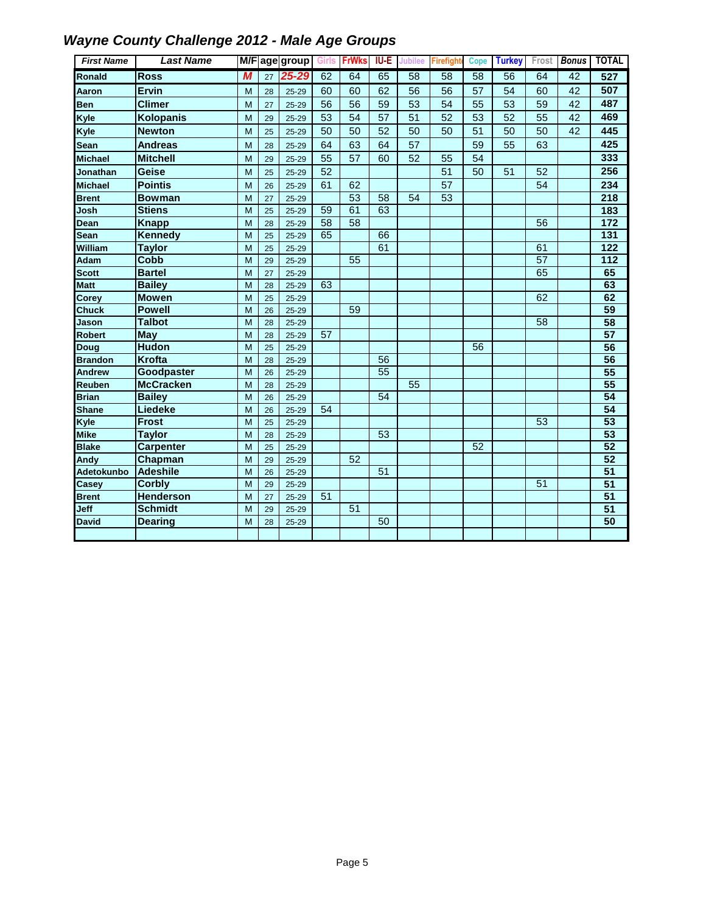| <b>First Name</b>      | <b>Last Name</b>                  |        |          | M/F age group      | Girls | <b>FrWks</b> | IU-E            | <b>Jubilee</b> | Firefight       | <b>Cope</b> | <b>Turkey</b> |    | Frost <b>Bonus</b> | <b>TOTAL</b>    |
|------------------------|-----------------------------------|--------|----------|--------------------|-------|--------------|-----------------|----------------|-----------------|-------------|---------------|----|--------------------|-----------------|
| Ronald                 | <b>Ross</b>                       | M      | 27       | 25-29              | 62    | 64           | 65              | 58             | 58              | 58          | 56            | 64 | 42                 | 527             |
| Aaron                  | Ervin                             | M      | 28       | 25-29              | 60    | 60           | 62              | 56             | 56              | 57          | 54            | 60 | 42                 | 507             |
| <b>Ben</b>             | <b>Climer</b>                     | M      | 27       | $25 - 29$          | 56    | 56           | 59              | 53             | 54              | 55          | 53            | 59 | 42                 | 487             |
| Kyle                   | <b>Kolopanis</b>                  | M      | 29       | 25-29              | 53    | 54           | 57              | 51             | 52              | 53          | 52            | 55 | 42                 | 469             |
| Kyle                   | <b>Newton</b>                     | M      | 25       | $25 - 29$          | 50    | 50           | 52              | 50             | 50              | 51          | 50            | 50 | 42                 | 445             |
| Sean                   | <b>Andreas</b>                    | M      | 28       | $25 - 29$          | 64    | 63           | 64              | 57             |                 | 59          | 55            | 63 |                    | 425             |
| <b>Michael</b>         | <b>Mitchell</b>                   | M      | 29       | $25 - 29$          | 55    | 57           | 60              | 52             | 55              | 54          |               |    |                    | 333             |
| <b>Jonathan</b>        | Geise                             | M      | 25       | 25-29              | 52    |              |                 |                | 51              | 50          | 51            | 52 |                    | 256             |
| <b>Michael</b>         | <b>Pointis</b>                    | M      | 26       | $25 - 29$          | 61    | 62           |                 |                | 57              |             |               | 54 |                    | 234             |
| <b>Brent</b>           | <b>Bowman</b>                     | M      | 27       | $25 - 29$          |       | 53           | 58              | 54             | $\overline{53}$ |             |               |    |                    | 218             |
| Josh                   | <b>Stiens</b>                     | M      | 25       | 25-29              | 59    | 61           | 63              |                |                 |             |               |    |                    | 183             |
| Dean                   | <b>Knapp</b>                      | M      | 28       | 25-29              | 58    | 58           |                 |                |                 |             |               | 56 |                    | $\frac{1}{172}$ |
| Sean                   | <b>Kennedy</b>                    | M      | 25       | 25-29              | 65    |              | 66              |                |                 |             |               |    |                    | 131             |
| William                | <b>Taylor</b>                     | M      | 25       | 25-29              |       |              | 61              |                |                 |             |               | 61 |                    | 122             |
| <b>Adam</b>            | Cobb                              | M      | 29       | 25-29              |       | 55           |                 |                |                 |             |               | 57 |                    | $\frac{1}{112}$ |
| <b>Scott</b>           | <b>Bartel</b>                     | M      | 27       | $25 - 29$          |       |              |                 |                |                 |             |               | 65 |                    | 65              |
| <b>Matt</b>            | <b>Bailey</b>                     | M      | 28       | 25-29              | 63    |              |                 |                |                 |             |               |    |                    | 63              |
| Corey                  | <b>Mowen</b>                      | M      | 25       | 25-29              |       |              |                 |                |                 |             |               | 62 |                    | 62              |
| <b>Chuck</b>           | <b>Powell</b>                     | M      | 26       | $25 - 29$          |       | 59           |                 |                |                 |             |               |    |                    | 59              |
| Jason                  | <b>Talbot</b>                     | M      | 28       | $25 - 29$          |       |              |                 |                |                 |             |               | 58 |                    | 58              |
| <b>Robert</b>          | <b>May</b>                        | M      | 28       | $25 - 29$          | 57    |              |                 |                |                 |             |               |    |                    | 57              |
| Doug                   | <b>Hudon</b>                      | M      | 25       | 25-29              |       |              |                 |                |                 | 56          |               |    |                    | 56              |
| <b>Brandon</b>         | <b>Krofta</b>                     | M      | 28       | 25-29              |       |              | 56              |                |                 |             |               |    |                    | 56              |
| <b>Andrew</b>          | Goodpaster                        | M      | 26       | 25-29              |       |              | 55              | 55             |                 |             |               |    |                    | 55<br>55        |
| Reuben<br><b>Brian</b> | <b>McCracken</b><br><b>Bailey</b> | M<br>M | 28<br>26 | $25 - 29$<br>25-29 |       |              | $\overline{54}$ |                |                 |             |               |    |                    | 54              |
| <b>Shane</b>           | <b>Liedeke</b>                    | M      | 26       | $25 - 29$          | 54    |              |                 |                |                 |             |               |    |                    | 54              |
| Kyle                   | <b>Frost</b>                      | M      | 25       | 25-29              |       |              |                 |                |                 |             |               | 53 |                    | 53              |
| <b>Mike</b>            | <b>Taylor</b>                     | M      | 28       | $25 - 29$          |       |              | 53              |                |                 |             |               |    |                    | 53              |
| <b>Blake</b>           | <b>Carpenter</b>                  | M      | 25       | $25 - 29$          |       |              |                 |                |                 | 52          |               |    |                    | 52              |
| Andy                   | <b>Chapman</b>                    | M      | 29       | $25 - 29$          |       | 52           |                 |                |                 |             |               |    |                    | $\overline{52}$ |
| Adetokunbo             | <b>Adeshile</b>                   | M      | 26       | $25 - 29$          |       |              | 51              |                |                 |             |               |    |                    | 51              |
| Casey                  | <b>Corbly</b>                     | M      | 29       | 25-29              |       |              |                 |                |                 |             |               | 51 |                    | $\overline{51}$ |
| <b>Brent</b>           | <b>Henderson</b>                  | M      | 27       | 25-29              | 51    |              |                 |                |                 |             |               |    |                    | 51              |
| Jeff                   | <b>Schmidt</b>                    | M      | 29       | $25 - 29$          |       | 51           |                 |                |                 |             |               |    |                    | $\overline{51}$ |
| <b>David</b>           | Dearing                           | M      | 28       | 25-29              |       |              | 50              |                |                 |             |               |    |                    | 50              |
|                        |                                   |        |          |                    |       |              |                 |                |                 |             |               |    |                    |                 |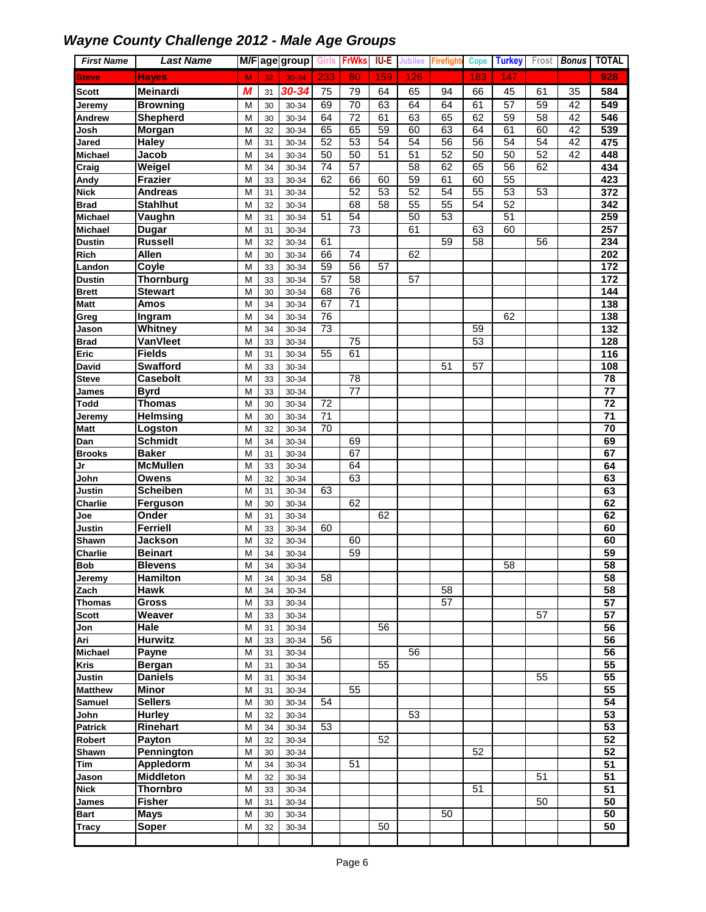| <b>First Name</b> | <b>Last Name</b>         |        |          | M/F age group  | Girls           | <b>FrWks</b>    | <b>IU-E</b>     | <b>Jubilee</b>  | Firefight       | Cope            | <b>Turkey</b>   | Frost | <b>Bonus</b> | <b>TOTAL</b>     |
|-------------------|--------------------------|--------|----------|----------------|-----------------|-----------------|-----------------|-----------------|-----------------|-----------------|-----------------|-------|--------------|------------------|
| <b>Steve</b>      | <b>Hayes</b>             | M      | 32       | 30-34          | 233             | 80              | 159             | 126             |                 | 183             | 147             |       |              | 928              |
| <b>Scott</b>      | Meinardi                 | М      | 31       | 30-34          | 75              | 79              | 64              | 65              | 94              | 66              | 45              | 61    | 35           | 584              |
| Jeremy            | <b>Browning</b>          | M      | 30       | 30-34          | 69              | 70              | 63              | 64              | 64              | 61              | 57              | 59    | 42           | 549              |
| Andrew            | <b>Shepherd</b>          | M      | 30       | 30-34          | 64              | 72              | 61              | 63              | 65              | 62              | 59              | 58    | 42           | 546              |
| Josh              | Morgan                   | M      | 32       | 30-34          | 65              | 65              | 59              | 60              | 63              | 64              | 61              | 60    | 42           | 539              |
| <b>Jared</b>      | <b>Haley</b>             | M      | 31       | 30-34          | 52              | $\overline{53}$ | 54              | 54              | 56              | $\overline{56}$ | 54              | 54    | 42           | 475              |
| <b>Michael</b>    | Jacob                    | M      | 34       | 30-34          | 50              | $\overline{50}$ | 51              | $\overline{51}$ | 52              | 50              | $\overline{50}$ | 52    | 42           | 448              |
| Craig             | Weigel                   | M      | 34       | 30-34          | 74              | 57              |                 | $\overline{58}$ | 62              | 65              | $\overline{56}$ | 62    |              | 434              |
| Andy              | <b>Frazier</b>           | M      | 33       | 30-34          | 62              | 66              | 60              | 59              | 61              | 60              | 55              |       |              | 423              |
| <b>Nick</b>       | <b>Andreas</b>           | M      | 31       | 30-34          |                 | 52              | 53              | 52              | 54              | 55              | $\overline{53}$ | 53    |              | 372              |
| <b>Brad</b>       | <b>Stahlhut</b>          | M      | 32       | 30-34          |                 | 68              | $\overline{58}$ | 55              | $\overline{55}$ | $\overline{54}$ | 52              |       |              | 342              |
| <b>Michael</b>    | Vaughn                   | M      | 31       | 30-34          | 51              | 54              |                 | 50              | 53              |                 | $\overline{51}$ |       |              | 259              |
| <b>Michael</b>    | <b>Dugar</b>             | M      | 31       | 30-34          |                 | $\overline{73}$ |                 | 61              |                 | 63              | 60              |       |              | 257              |
| <b>Dustin</b>     | <b>Russell</b>           | M      | 32       | 30-34          | 61              |                 |                 |                 | 59              | 58              |                 | 56    |              | 234              |
| Rich              | <b>Allen</b>             | M      | 30       | 30-34          | 66              | 74              |                 | 62              |                 |                 |                 |       |              | 202              |
| Landon            | Coyle                    | M      | 33       | 30-34          | 59              | 56              | 57              |                 |                 |                 |                 |       |              | 172              |
| <b>Dustin</b>     | <b>Thornburg</b>         | M      | 33       | 30-34          | 57              | $\overline{58}$ |                 | 57              |                 |                 |                 |       |              | 172              |
| <b>Brett</b>      | <b>Stewart</b>           | M      | 30       | 30-34          | 68              | $\overline{76}$ |                 |                 |                 |                 |                 |       |              | 144              |
| <b>Matt</b>       | Amos                     | M      | 34       | 30-34          | 67              | 71              |                 |                 |                 |                 |                 |       |              | $\frac{1}{138}$  |
| Greg              | Ingram                   | M      | 34       | 30-34          | 76              |                 |                 |                 |                 |                 | 62              |       |              | 138              |
| Jason             | Whitney                  | M      | 34       | 30-34          | $\overline{73}$ |                 |                 |                 |                 | 59              |                 |       |              | $\overline{132}$ |
| <b>Brad</b>       | VanVleet                 | M      | 33       | 30-34          |                 | 75              |                 |                 |                 | $\overline{53}$ |                 |       |              | 128              |
| Eric              | <b>Fields</b>            | M      | 31       | 30-34          | 55              | 61              |                 |                 |                 |                 |                 |       |              | 116              |
| <b>David</b>      | <b>Swafford</b>          | M      | 33       | 30-34          |                 |                 |                 |                 | 51              | 57              |                 |       |              | 108              |
| <b>Steve</b>      | <b>Casebolt</b>          | M      | 33       | 30-34          |                 | 78              |                 |                 |                 |                 |                 |       |              | 78               |
| <b>James</b>      | <b>Byrd</b>              | M      | 33       | 30-34          |                 | 77              |                 |                 |                 |                 |                 |       |              | $\overline{77}$  |
| <b>Todd</b>       | <b>Thomas</b>            | M      | 30       | 30-34          | $\overline{72}$ |                 |                 |                 |                 |                 |                 |       |              | $\overline{72}$  |
| Jeremy            | <b>Helmsing</b>          | M      | 30       | 30-34          | $\overline{71}$ |                 |                 |                 |                 |                 |                 |       |              | $\overline{71}$  |
| <b>Matt</b>       | Logston                  | M      | 32       | 30-34          | 70              |                 |                 |                 |                 |                 |                 |       |              | 70               |
| Dan               | <b>Schmidt</b>           | M      | 34       | 30-34          |                 | 69              |                 |                 |                 |                 |                 |       |              | 69               |
| <b>Brooks</b>     | <b>Baker</b>             | M      | 31       | 30-34          |                 | 67              |                 |                 |                 |                 |                 |       |              | 67               |
| Jr                | <b>McMullen</b>          | M      | 33       | 30-34          |                 | 64<br>63        |                 |                 |                 |                 |                 |       |              | 64               |
| John<br>Justin    | Owens<br><b>Scheiben</b> | M<br>M | 32<br>31 | 30-34<br>30-34 | 63              |                 |                 |                 |                 |                 |                 |       |              | 63<br>63         |
| Charlie           | Ferguson                 | M      | 30       | 30-34          |                 | 62              |                 |                 |                 |                 |                 |       |              | 62               |
| Joe               | Onder                    | M      | 31       | 30-34          |                 |                 | 62              |                 |                 |                 |                 |       |              | 62               |
| Justin            | <b>Ferriell</b>          | M      | 33       | 30-34          | 60              |                 |                 |                 |                 |                 |                 |       |              | 60               |
| Shawn             | Jackson                  | M      | 32       | 30-34          |                 | 60              |                 |                 |                 |                 |                 |       |              | 60               |
| <b>Charlie</b>    | <b>Beinart</b>           | M      | 34       | 30-34          |                 | 59              |                 |                 |                 |                 |                 |       |              | 59               |
| <b>Bob</b>        | <b>Blevens</b>           | M      | 34       | $30 - 34$      |                 |                 |                 |                 |                 |                 | 58              |       |              | 58               |
| Jeremy            | Hamilton                 | М      | 34       | 30-34          | 58              |                 |                 |                 |                 |                 |                 |       |              | 58               |
| Zach              | <b>Hawk</b>              | M      | 34       | 30-34          |                 |                 |                 |                 | 58              |                 |                 |       |              | 58               |
| Thomas            | <b>Gross</b>             | M      | 33       | 30-34          |                 |                 |                 |                 | $\overline{57}$ |                 |                 |       |              | $\overline{57}$  |
| <b>Scott</b>      | Weaver                   | M      | 33       | 30-34          |                 |                 |                 |                 |                 |                 |                 | 57    |              | $\overline{57}$  |
| Jon               | Hale                     | M      | 31       | 30-34          |                 |                 | 56              |                 |                 |                 |                 |       |              | 56               |
| Ari               | <b>Hurwitz</b>           | M      | 33       | 30-34          | 56              |                 |                 |                 |                 |                 |                 |       |              | 56               |
| Michael           | <b>Payne</b>             | M      | 31       | 30-34          |                 |                 |                 | 56              |                 |                 |                 |       |              | 56               |
| <b>Kris</b>       | <b>Bergan</b>            | M      | 31       | 30-34          |                 |                 | 55              |                 |                 |                 |                 |       |              | 55               |
| <b>Justin</b>     | <b>Daniels</b>           | M      | 31       | 30-34          |                 |                 |                 |                 |                 |                 |                 | 55    |              | 55               |
| <b>Matthew</b>    | Minor                    | М      | 31       | 30-34          |                 | 55              |                 |                 |                 |                 |                 |       |              | 55               |
| <b>Samuel</b>     | <b>Sellers</b>           | M      | 30       | 30-34          | 54              |                 |                 |                 |                 |                 |                 |       |              | 54               |
| John              | <b>Hurley</b>            | M      | 32       | 30-34          |                 |                 |                 | 53              |                 |                 |                 |       |              | $\overline{53}$  |
| <b>Patrick</b>    | Rinehart                 | M      | 34       | 30-34          | 53              |                 |                 |                 |                 |                 |                 |       |              | $\overline{53}$  |
| Robert            | Payton                   | M      | 32       | 30-34          |                 |                 | 52              |                 |                 |                 |                 |       |              | $\overline{52}$  |
| Shawn             | <b>Pennington</b>        | M      | 30       | 30-34          |                 |                 |                 |                 |                 | 52              |                 |       |              | 52               |
| Tim               | Appledorm                | M      | 34       | 30-34          |                 | 51              |                 |                 |                 |                 |                 |       |              | 51               |
| Jason             | <b>Middleton</b>         | M      | 32       | 30-34          |                 |                 |                 |                 |                 |                 |                 | 51    |              | $\overline{51}$  |
| <b>Nick</b>       | Thornbro                 | M      | 33       | 30-34          |                 |                 |                 |                 |                 | 51              |                 |       |              | $\overline{51}$  |
| James             | <b>Fisher</b>            | М      | 31       | 30-34          |                 |                 |                 |                 |                 |                 |                 | 50    |              | 50               |
| <b>Bart</b>       | <b>Mays</b>              | м      | 30       | 30-34          |                 |                 |                 |                 | 50              |                 |                 |       |              | 50               |
| Tracy             | Soper                    | M      | 32       | 30-34          |                 |                 | 50              |                 |                 |                 |                 |       |              | 50               |
|                   |                          |        |          |                |                 |                 |                 |                 |                 |                 |                 |       |              |                  |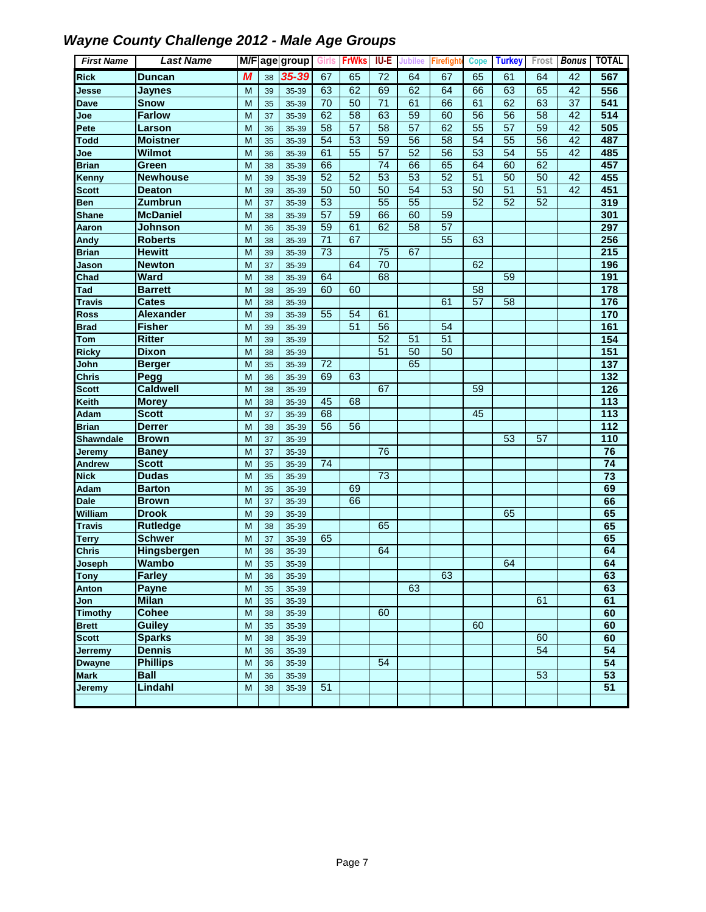| <b>First Name</b>       | <b>Last Name</b>             |        |          | M/F age group  | Girls           | <b>FrWks</b>    | <b>IU-E</b>     | Jubilee         | Firefight       | <b>Cope</b>     | <b>Turkey</b> | Frost           | <b>Bonus</b> | <b>TOTAL</b>     |
|-------------------------|------------------------------|--------|----------|----------------|-----------------|-----------------|-----------------|-----------------|-----------------|-----------------|---------------|-----------------|--------------|------------------|
| <b>Rick</b>             | <b>Duncan</b>                | M      | 38       | 35-39          | 67              | 65              | 72              | 64              | 67              | 65              | 61            | 64              | 42           | 567              |
| Jesse                   | <b>Jaynes</b>                | M      | 39       | 35-39          | 63              | 62              | 69              | 62              | 64              | 66              | 63            | 65              | 42           | 556              |
| <b>Dave</b>             | <b>Snow</b>                  | M      | 35       | 35-39          | 70              | 50              | 71              | 61              | 66              | 61              | 62            | 63              | 37           | 541              |
| Joe                     | <b>Farlow</b>                | M      | 37       | 35-39          | 62              | 58              | 63              | 59              | 60              | 56              | 56            | $\overline{58}$ | 42           | 514              |
| Pete                    | Larson                       | M      | 36       | 35-39          | 58              | 57              | 58              | 57              | 62              | 55              | 57            | 59              | 42           | 505              |
| <b>Todd</b>             | <b>Moistner</b>              | M      | 35       | 35-39          | 54              | $\overline{53}$ | 59              | $\overline{56}$ | $\overline{58}$ | 54              | 55            | $\overline{56}$ | 42           | 487              |
| Joe                     | <b>Wilmot</b>                | M      | 36       | 35-39          | 61              | 55              | $\overline{57}$ | 52              | $\overline{56}$ | 53              | 54            | $\overline{55}$ | 42           | 485              |
| <b>Brian</b>            | Green                        | M      | 38       | 35-39          | 66              |                 | 74              | 66              | 65              | 64              | 60            | 62              |              | 457              |
| Kenny                   | <b>Newhouse</b>              | M      | 39       | 35-39          | 52              | 52              | $\overline{53}$ | 53              | 52              | $\overline{51}$ | 50            | 50              | 42           | 455              |
| <b>Scott</b>            | <b>Deaton</b>                | M      | 39       | 35-39          | 50              | 50              | 50              | 54              | 53              | 50              | 51            | 51              | 42           | 451              |
| <b>Ben</b>              | Zumbrun                      | M      | 37       | 35-39          | 53              |                 | $\overline{55}$ | 55              |                 | $\overline{52}$ | 52            | 52              |              | 319              |
| <b>Shane</b>            | <b>McDaniel</b>              | M      | 38       | 35-39          | $\overline{57}$ | 59              | 66              | 60              | 59              |                 |               |                 |              | 301              |
| Aaron                   | Johnson                      | M      | 36       | 35-39          | 59              | 61              | 62              | 58              | 57              |                 |               |                 |              | 297              |
| Andy                    | <b>Roberts</b>               | M      | 38       | 35-39          | $\overline{71}$ | 67              |                 |                 | 55              | 63              |               |                 |              | 256              |
| <b>Brian</b>            | <b>Hewitt</b>                | M      | 39       | 35-39          | 73              |                 | 75              | 67              |                 |                 |               |                 |              | $\overline{215}$ |
| Jason                   | <b>Newton</b>                | M      | 37       | 35-39          |                 | 64              | $\overline{70}$ |                 |                 | 62              |               |                 |              | 196              |
| Chad                    | <b>Ward</b>                  | M      | 38       | 35-39          | 64              |                 | 68              |                 |                 |                 | 59            |                 |              | 191              |
| Tad                     | <b>Barrett</b>               | M      | 38       | 35-39          | 60              | 60              |                 |                 |                 | 58              |               |                 |              | 178              |
| <b>Travis</b>           | <b>Cates</b>                 | M      | 38       | 35-39          |                 |                 |                 |                 | 61              | $\overline{57}$ | 58            |                 |              | $\frac{1}{176}$  |
| <b>Ross</b>             | Alexander                    | M      | 39       | 35-39          | 55              | 54              | 61              |                 |                 |                 |               |                 |              | 170              |
| <b>Brad</b>             | <b>Fisher</b>                | M      | 39       | 35-39          |                 | 51              | 56              |                 | 54              |                 |               |                 |              | 161              |
| <b>Tom</b>              | <b>Ritter</b>                | M      | 39       | 35-39          |                 |                 | 52              | 51              | 51              |                 |               |                 |              | 154              |
| <b>Ricky</b>            | <b>Dixon</b>                 | M      | 38       | 35-39          |                 |                 | 51              | $\overline{50}$ | 50              |                 |               |                 |              | $\overline{151}$ |
| John                    | <b>Berger</b>                | M      | 35       | 35-39          | 72              |                 |                 | 65              |                 |                 |               |                 |              | $\overline{137}$ |
| <b>Chris</b>            | Pegg                         | M      | 36       | 35-39          | 69              | 63              |                 |                 |                 |                 |               |                 |              | $\overline{132}$ |
| <b>Scott</b>            | <b>Caldwell</b>              | M      | 38       | 35-39          |                 |                 | 67              |                 |                 | 59              |               |                 |              | 126              |
| Keith                   | <b>Morey</b>                 | M      | 38       | 35-39          | 45              | 68              |                 |                 |                 |                 |               |                 |              | $\overline{113}$ |
| Adam                    | <b>Scott</b>                 | M      | 37       | 35-39          | 68              |                 |                 |                 |                 | 45              |               |                 |              | 113              |
| <b>Brian</b>            | <b>Derrer</b>                | M      | 38       | 35-39          | 56              | 56              |                 |                 |                 |                 |               |                 |              | $\frac{1}{112}$  |
| <b>Shawndale</b>        | <b>Brown</b>                 | M<br>M | 37       | 35-39          |                 |                 | 76              |                 |                 |                 | 53            | 57              |              | 110<br>76        |
| <b>Jeremy</b><br>Andrew | <b>Baney</b><br><b>Scott</b> | M      | 37       | 35-39<br>35-39 | 74              |                 |                 |                 |                 |                 |               |                 |              | 74               |
| <b>Nick</b>             | <b>Dudas</b>                 | M      | 35<br>35 | 35-39          |                 |                 | $\overline{73}$ |                 |                 |                 |               |                 |              | $\overline{73}$  |
| Adam                    | <b>Barton</b>                | M      | 35       | 35-39          |                 | 69              |                 |                 |                 |                 |               |                 |              | 69               |
| <b>Dale</b>             | <b>Brown</b>                 | M      | 37       | 35-39          |                 | 66              |                 |                 |                 |                 |               |                 |              | 66               |
| <b>William</b>          | <b>Drook</b>                 | M      | 39       | 35-39          |                 |                 |                 |                 |                 |                 | 65            |                 |              | 65               |
| <b>Travis</b>           | <b>Rutledge</b>              | M      | 38       | 35-39          |                 |                 | 65              |                 |                 |                 |               |                 |              | 65               |
| <b>Terry</b>            | <b>Schwer</b>                | M      | 37       | 35-39          | 65              |                 |                 |                 |                 |                 |               |                 |              | 65               |
| <b>Chris</b>            | Hingsbergen                  | M      | 36       | 35-39          |                 |                 | 64              |                 |                 |                 |               |                 |              | 64               |
| Joseph                  | Wambo                        | M      | 35       | 35-39          |                 |                 |                 |                 |                 |                 | 64            |                 |              | 64               |
| <b>Tony</b>             | <b>Farley</b>                | M      | 36       | 35-39          |                 |                 |                 |                 | 63              |                 |               |                 |              | 63               |
| Anton                   | <b>Payne</b>                 | M      | 35       | 35-39          |                 |                 |                 | 63              |                 |                 |               |                 |              | 63               |
| Jon                     | <b>Milan</b>                 | M      | 35       | 35-39          |                 |                 |                 |                 |                 |                 |               | 61              |              | 61               |
| <b>Timothy</b>          | <b>Cohee</b>                 | M      | 38       | 35-39          |                 |                 | 60              |                 |                 |                 |               |                 |              | 60               |
| <b>Brett</b>            | <b>Guiley</b>                | M      | 35       | 35-39          |                 |                 |                 |                 |                 | 60              |               |                 |              | 60               |
| <b>Scott</b>            | <b>Sparks</b>                | M      | 38       | 35-39          |                 |                 |                 |                 |                 |                 |               | 60              |              | 60               |
| Jerremy                 | <b>Dennis</b>                | M      | 36       | 35-39          |                 |                 |                 |                 |                 |                 |               | 54              |              | $\overline{54}$  |
| <b>Dwayne</b>           | <b>Phillips</b>              | M      | 36       | 35-39          |                 |                 | 54              |                 |                 |                 |               |                 |              | $\overline{54}$  |
| <b>Mark</b>             | <b>Ball</b>                  | M      | 36       | 35-39          |                 |                 |                 |                 |                 |                 |               | 53              |              | 53               |
| Jeremy                  | Lindahl                      | M      | 38       | 35-39          | 51              |                 |                 |                 |                 |                 |               |                 |              | $\overline{51}$  |
|                         |                              |        |          |                |                 |                 |                 |                 |                 |                 |               |                 |              |                  |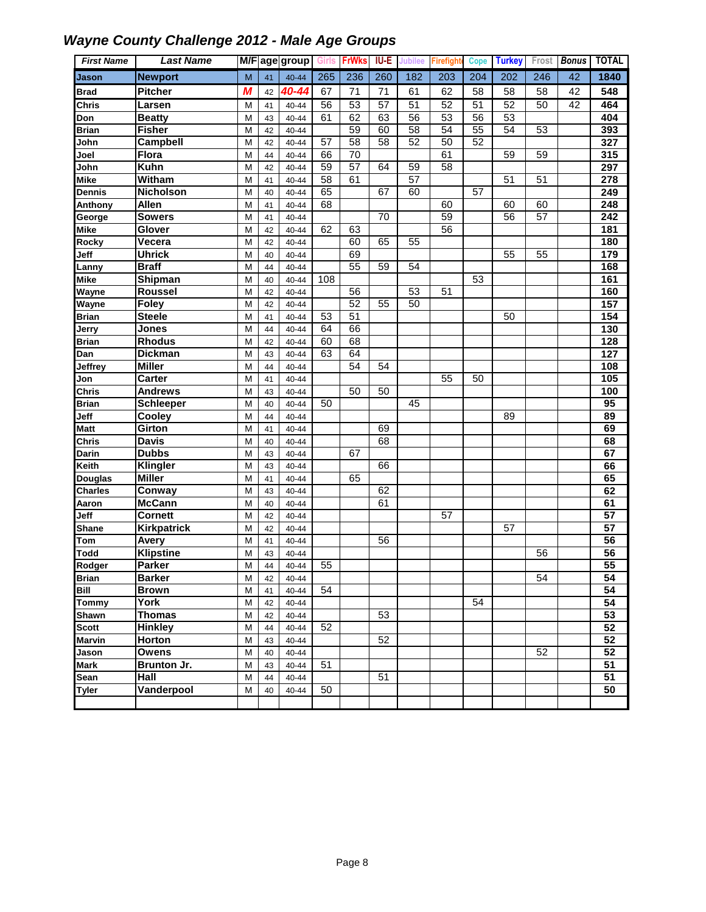| <b>First Name</b>    | <b>Last Name</b>    |        |          | M/F age group      | Girls | <b>FrWk</b>     | <b>IU-E</b> | Jubilee         | Firefigh        | Cope | <b>Turkey</b> | Frost           | <b>Bonus</b> | <b>TOTAL</b>          |
|----------------------|---------------------|--------|----------|--------------------|-------|-----------------|-------------|-----------------|-----------------|------|---------------|-----------------|--------------|-----------------------|
| Jason                | <b>Newport</b>      | M      | 41       | 40-44              | 265   | 236             | 260         | 182             | 203             | 204  | 202           | 246             | 42           | 1840                  |
| <b>Brad</b>          | <b>Pitcher</b>      | M      | 42       | 40-44              | 67    | 71              | 71          | 61              | 62              | 58   | 58            | 58              | 42           | 548                   |
| <b>Chris</b>         | <b>Larsen</b>       | М      | 41       | 40-44              | 56    | 53              | 57          | 51              | 52              | 51   | 52            | 50              | 42           | 464                   |
| Don                  | <b>Beatty</b>       | M      | 43       | 40-44              | 61    | 62              | 63          | 56              | 53              | 56   | 53            |                 |              | 404                   |
| <b>Brian</b>         | Fisher              | M      | 42       | 40-44              |       | 59              | 60          | $\overline{58}$ | 54              | 55   | 54            | 53              |              | 393                   |
| John                 | Campbell            | M      | 42       | 40-44              | 57    | 58              | 58          | 52              | 50              | 52   |               |                 |              | 327                   |
| Joel                 | <b>Flora</b>        | M      | 44       | 40-44              | 66    | $\overline{70}$ |             |                 | 61              |      | 59            | 59              |              | 315                   |
| John                 | Kuhn                | M      | 42       | 40-44              | 59    | $\overline{57}$ | 64          | 59              | 58              |      |               |                 |              | 297                   |
| <b>Mike</b>          | <b>Witham</b>       | M      | 41       | 40-44              | 58    | 61              |             | 57              |                 |      | 51            | 51              |              | $\overline{278}$      |
| Dennis               | <b>Nicholson</b>    | M      | 40       | 40-44              | 65    |                 | 67          | 60              |                 | 57   |               |                 |              | 249                   |
| Anthony              | <b>Allen</b>        | M      | 41       | 40-44              | 68    |                 |             |                 | 60              |      | 60            | 60              |              | 248                   |
| George               | <b>Sowers</b>       | M      | 41       | 40-44              |       |                 | 70          |                 | 59              |      | 56            | $\overline{57}$ |              | $\overline{242}$      |
| <b>Mike</b>          | Glover              | M      | 42       | 40-44              | 62    | 63              |             |                 | 56              |      |               |                 |              | 181                   |
| Rocky                | Vecera              | M      | 42       | 40-44              |       | 60              | 65          | 55              |                 |      |               |                 |              | 180                   |
| Jeff                 | <b>Uhrick</b>       | M      | 40       | 40-44              |       | 69              |             |                 |                 |      | 55            | 55              |              | 179                   |
| Lanny                | <b>Braff</b>        | M      | 44       | 40-44              |       | 55              | 59          | 54              |                 |      |               |                 |              | 168                   |
| <b>Mike</b>          | Shipman             | M      | 40       | 40-44              | 108   |                 |             |                 |                 | 53   |               |                 |              | 161                   |
| Wayne                | <b>Roussel</b>      | M      | 42       | 40-44              |       | 56              |             | 53              | 51              |      |               |                 |              | 160                   |
| Wayne                | Foley               | M      | 42       | 40-44              |       | 52              | 55          | 50              |                 |      |               |                 |              | 157                   |
| <b>Brian</b>         | <b>Steele</b>       | M      | 41       | 40-44              | 53    | 51              |             |                 |                 |      | 50            |                 |              | 154                   |
| Jerry                | Jones               | M      | 44       | 40-44              | 64    | 66              |             |                 |                 |      |               |                 |              | 130                   |
| <b>Brian</b>         | <b>Rhodus</b>       | M      | 42       | 40-44              | 60    | 68              |             |                 |                 |      |               |                 |              | 128                   |
| Dan                  | <b>Dickman</b>      | M      | 43       | 40-44              | 63    | 64              |             |                 |                 |      |               |                 |              | 127                   |
| Jeffrey              | <b>Miller</b>       | M      | 44       | 40-44              |       | 54              | 54          |                 |                 |      |               |                 |              | 108                   |
| Jon                  | Carter              | M      | 41       | 40-44              |       |                 |             |                 | 55              | 50   |               |                 |              | 105                   |
| <b>Chris</b>         | <b>Andrews</b>      | M      | 43       | 40-44              |       | 50              | 50          |                 |                 |      |               |                 |              | 100                   |
| <b>Brian</b>         | <b>Schleeper</b>    | M      | 40       | 40-44              | 50    |                 |             | 45              |                 |      |               |                 |              | 95                    |
| Jeff                 | Cooley              | M      | 44       | 40-44              |       |                 |             |                 |                 |      | 89            |                 |              | 89                    |
| <b>Matt</b>          | Girton              | M      | 41       | 40-44              |       |                 | 69          |                 |                 |      |               |                 |              | 69                    |
| <b>Chris</b>         | <b>Davis</b>        | M      | 40       | 40-44              |       |                 | 68          |                 |                 |      |               |                 |              | 68                    |
| Darin                | <b>Dubbs</b>        | M      | 43       | 40-44              |       | 67              |             |                 |                 |      |               |                 |              | 67                    |
| Keith                | Klingler            | M      | 43       | 40-44              |       |                 | 66          |                 |                 |      |               |                 |              | 66                    |
| Douglas              | <b>Miller</b>       | M      | 41       | 40-44              |       | 65              |             |                 |                 |      |               |                 |              | 65                    |
| <b>Charles</b>       | Conway              | M      | 43       | 40-44              |       |                 | 62          |                 |                 |      |               |                 |              | 62                    |
| Aaron                | <b>McCann</b>       | M      | 40       | 40-44              |       |                 | 61          |                 |                 |      |               |                 |              | 61                    |
| Jeff                 | <b>Cornett</b>      | M      | 42       | 40-44              |       |                 |             |                 | $\overline{57}$ |      |               |                 |              | 57                    |
| <b>Shane</b>         | Kirkpatrick         | M      | 42       | 40-44              |       |                 |             |                 |                 |      | 57            |                 |              | $\overline{57}$       |
| Tom                  | Avery               | M      | 41       | 40-44              |       |                 | 56          |                 |                 |      |               |                 |              | 56                    |
| <b>Todd</b>          | <b>Klipstine</b>    | M      | 43       | 40-44              |       |                 |             |                 |                 |      |               | 56              |              | 56                    |
| Rodger               | <b>Parker</b>       | M      | 44       | 40-44              | 55    |                 |             |                 |                 |      |               |                 |              | 55                    |
| <b>Brian</b>         | <b>Barker</b>       | M      | 42       | 40-44              |       |                 |             |                 |                 |      |               | 54              |              | 54                    |
| Bill                 | <b>Brown</b>        | М      | 41       | 40-44              | 54    |                 |             |                 |                 |      |               |                 |              | 54<br>$\overline{54}$ |
| <b>Tommy</b>         | York                | М      | 42       | $40 - 44$          |       |                 |             |                 |                 | 54   |               |                 |              |                       |
| Shawn                | <b>Thomas</b>       | M      | 42       | 40-44              | 52    |                 | 53          |                 |                 |      |               |                 |              | 53                    |
| <b>Scott</b>         | <b>Hinkley</b>      | M      | 44       | 40-44              |       |                 |             |                 |                 |      |               |                 |              | 52<br>52              |
| <b>Marvin</b>        | Horton              | M      | 43       | 40-44              |       |                 | 52          |                 |                 |      |               | 52              |              | 52                    |
| Jason                | Owens               | M      | 40       | 40-44<br>$40 - 44$ | 51    |                 |             |                 |                 |      |               |                 |              | $\overline{51}$       |
| <b>Mark</b>          | Brunton Jr.<br>Hall | М      | 43<br>44 |                    |       |                 | 51          |                 |                 |      |               |                 |              | $\overline{51}$       |
| Sean<br><b>Tyler</b> | Vanderpool          | M<br>М | 40       | 40-44<br>40-44     | 50    |                 |             |                 |                 |      |               |                 |              | 50                    |
|                      |                     |        |          |                    |       |                 |             |                 |                 |      |               |                 |              |                       |
|                      |                     |        |          |                    |       |                 |             |                 |                 |      |               |                 |              |                       |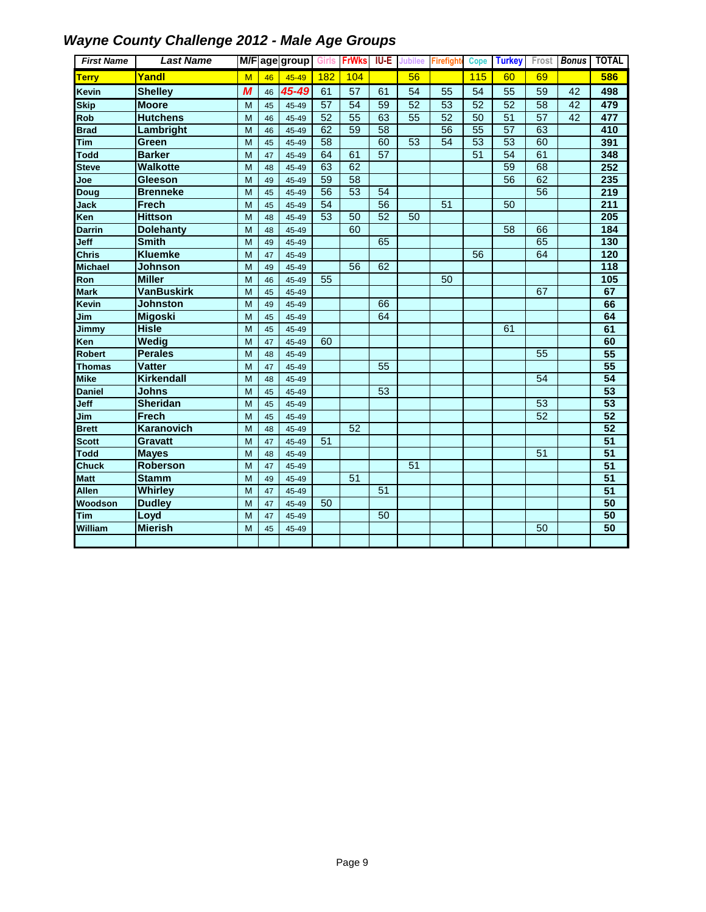| <b>First Name</b> | <b>Last Name</b>  |   |    | M/F age group | <b>Girls</b> | <b>FrWks</b>    | $I\cup E$ | <b>Jubilee</b>  | <b>Firefight</b> | <b>Cope</b>     | <b>Turkey</b> |                 | Frost <b>Bonus</b> | <b>TOTAL</b>     |
|-------------------|-------------------|---|----|---------------|--------------|-----------------|-----------|-----------------|------------------|-----------------|---------------|-----------------|--------------------|------------------|
| <b>Terry</b>      | Yandl             | M | 46 | 45-49         | 182          | 104             |           | 56              |                  | 115             | 60            | 69              |                    | 586              |
| <b>Kevin</b>      | <b>Shelley</b>    | M | 46 | 45-49         | 61           | 57              | 61        | 54              | 55               | 54              | 55            | 59              | 42                 | 498              |
| <b>Skip</b>       | <b>Moore</b>      | M | 45 | 45-49         | 57           | 54              | 59        | 52              | $\overline{53}$  | 52              | 52            | $\overline{58}$ | 42                 | 479              |
| Rob               | <b>Hutchens</b>   | M | 46 | 45-49         | 52           | $\overline{55}$ | 63        | $\overline{55}$ | $\overline{52}$  | 50              | 51            | 57              | 42                 | 477              |
| <b>Brad</b>       | Lambright         | M | 46 | 45-49         | 62           | 59              | 58        |                 | 56               | $\overline{55}$ | 57            | 63              |                    | 410              |
| Tim               | Green             | M | 45 | 45-49         | 58           |                 | 60        | 53              | 54               | 53              | 53            | 60              |                    | 391              |
| <b>Todd</b>       | <b>Barker</b>     | M | 47 | 45-49         | 64           | 61              | 57        |                 |                  | 51              | 54            | 61              |                    | 348              |
| <b>Steve</b>      | <b>Walkotte</b>   | M | 48 | 45-49         | 63           | 62              |           |                 |                  |                 | 59            | 68              |                    | 252              |
| Joe               | Gleeson           | M | 49 | 45-49         | 59           | 58              |           |                 |                  |                 | 56            | 62              |                    | 235              |
| Doug              | <b>Brenneke</b>   | M | 45 | 45-49         | 56           | 53              | 54        |                 |                  |                 |               | $\overline{56}$ |                    | 219              |
| Jack              | Frech             | M | 45 | 45-49         | 54           |                 | 56        |                 | 51               |                 | 50            |                 |                    | $\overline{211}$ |
| Ken               | <b>Hittson</b>    | M | 48 | 45-49         | 53           | 50              | 52        | 50              |                  |                 |               |                 |                    | 205              |
| <b>Darrin</b>     | <b>Dolehanty</b>  | M | 48 | 45-49         |              | 60              |           |                 |                  |                 | 58            | 66              |                    | 184              |
| Jeff              | <b>Smith</b>      | M | 49 | 45-49         |              |                 | 65        |                 |                  |                 |               | 65              |                    | 130              |
| <b>Chris</b>      | <b>Kluemke</b>    | M | 47 | 45-49         |              |                 |           |                 |                  | 56              |               | 64              |                    | 120              |
| <b>Michael</b>    | Johnson           | M | 49 | 45-49         |              | 56              | 62        |                 |                  |                 |               |                 |                    | $\frac{1}{18}$   |
| Ron               | <b>Miller</b>     | M | 46 | 45-49         | 55           |                 |           |                 | 50               |                 |               |                 |                    | 105              |
| <b>Mark</b>       | <b>VanBuskirk</b> | M | 45 | 45-49         |              |                 |           |                 |                  |                 |               | 67              |                    | 67               |
| Kevin             | <b>Johnston</b>   | M | 49 | 45-49         |              |                 | 66        |                 |                  |                 |               |                 |                    | 66               |
| Jim               | <b>Migoski</b>    | M | 45 | 45-49         |              |                 | 64        |                 |                  |                 |               |                 |                    | 64               |
| Jimmy             | <b>Hisle</b>      | M | 45 | 45-49         |              |                 |           |                 |                  |                 | 61            |                 |                    | 61               |
| Ken               | <b>Wedig</b>      | M | 47 | 45-49         | 60           |                 |           |                 |                  |                 |               |                 |                    | 60               |
| Robert            | <b>Perales</b>    | M | 48 | 45-49         |              |                 |           |                 |                  |                 |               | 55              |                    | 55               |
| Thomas            | <b>Vatter</b>     | M | 47 | 45-49         |              |                 | 55        |                 |                  |                 |               |                 |                    | 55               |
| <b>Mike</b>       | <b>Kirkendall</b> | M | 48 | 45-49         |              |                 |           |                 |                  |                 |               | 54              |                    | 54               |
| <b>Daniel</b>     | Johns             | M | 45 | 45-49         |              |                 | 53        |                 |                  |                 |               |                 |                    | $\overline{53}$  |
| Jeff              | <b>Sheridan</b>   | M | 45 | 45-49         |              |                 |           |                 |                  |                 |               | 53              |                    | $\overline{53}$  |
| Jim               | Frech             | M | 45 | 45-49         |              |                 |           |                 |                  |                 |               | 52              |                    | 52               |
| <b>Brett</b>      | <b>Karanovich</b> | M | 48 | 45-49         |              | 52              |           |                 |                  |                 |               |                 |                    | $\overline{52}$  |
| <b>Scott</b>      | Gravatt           | M | 47 | 45-49         | 51           |                 |           |                 |                  |                 |               |                 |                    | 51               |
| <b>Todd</b>       | <b>Mayes</b>      | M | 48 | 45-49         |              |                 |           |                 |                  |                 |               | 51              |                    | 51               |
| <b>Chuck</b>      | <b>Roberson</b>   | M | 47 | 45-49         |              |                 |           | 51              |                  |                 |               |                 |                    | $\overline{51}$  |
| <b>Matt</b>       | <b>Stamm</b>      | M | 49 | 45-49         |              | 51              |           |                 |                  |                 |               |                 |                    | $\overline{51}$  |
| <b>Allen</b>      | <b>Whirley</b>    | M | 47 | 45-49         |              |                 | 51        |                 |                  |                 |               |                 |                    | $\overline{51}$  |
| Woodson           | <b>Dudley</b>     | M | 47 | 45-49         | 50           |                 |           |                 |                  |                 |               |                 |                    | 50               |
| Tim               | Loyd              | M | 47 | 45-49         |              |                 | 50        |                 |                  |                 |               |                 |                    | $\overline{50}$  |
| William           | <b>Mierish</b>    | M | 45 | 45-49         |              |                 |           |                 |                  |                 |               | 50              |                    | 50               |
|                   |                   |   |    |               |              |                 |           |                 |                  |                 |               |                 |                    |                  |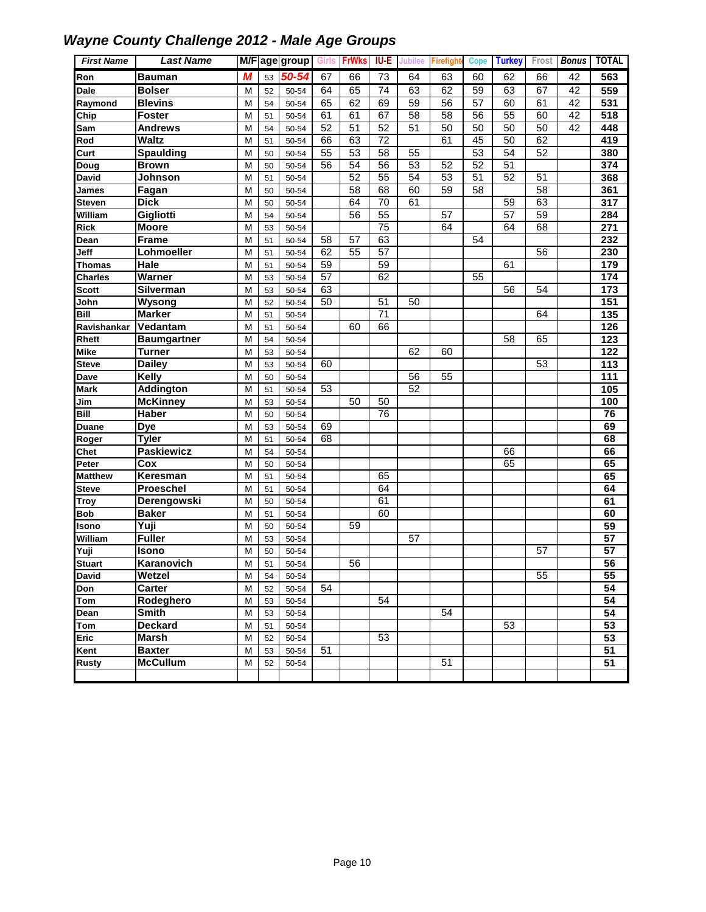| <b>First Name</b> | <b>Last Name</b>   |   |    | M/F age group | Girls           | <b>FrWks</b> | <b>IU-E</b>     | Jubilee         | Firefigh | Cope            | <b>Turkey</b>   | Frost | <b>Bonus</b> | <b>TOTAL</b>     |
|-------------------|--------------------|---|----|---------------|-----------------|--------------|-----------------|-----------------|----------|-----------------|-----------------|-------|--------------|------------------|
| Ron               | <b>Bauman</b>      | М | 53 | 50-54         | 67              | 66           | 73              | 64              | 63       | 60              | 62              | 66    | 42           | 563              |
| Dale              | <b>Bolser</b>      | M | 52 | 50-54         | 64              | 65           | $\overline{74}$ | 63              | 62       | 59              | 63              | 67    | 42           | 559              |
| Raymond           | <b>Blevins</b>     | M | 54 | 50-54         | 65              | 62           | 69              | 59              | 56       | 57              | 60              | 61    | 42           | 531              |
| Chip              | <b>Foster</b>      | M | 51 | 50-54         | 61              | 61           | 67              | 58              | 58       | 56              | 55              | 60    | 42           | 518              |
| Sam               | <b>Andrews</b>     | M | 54 | 50-54         | 52              | 51           | 52              | 51              | 50       | 50              | 50              | 50    | 42           | 448              |
| Rod               | <b>Waltz</b>       | M | 51 | 50-54         | 66              | 63           | $\overline{72}$ |                 | 61       | 45              | 50              | 62    |              | 419              |
| Curt              | <b>Spaulding</b>   | M | 50 | 50-54         | 55              | 53           | 58              | 55              |          | 53              | $\overline{54}$ | 52    |              | 380              |
| Doug              | <b>Brown</b>       | M | 50 | 50-54         | 56              | 54           | 56              | $\overline{53}$ | 52       | $\overline{52}$ | 51              |       |              | 374              |
| <b>David</b>      | Johnson            | M | 51 | 50-54         |                 | 52           | 55              | 54              | 53       | 51              | 52              | 51    |              | 368              |
| James             | Fagan              | M | 50 | 50-54         |                 | 58           | 68              | 60              | 59       | 58              |                 | 58    |              | 361              |
| <b>Steven</b>     | <b>Dick</b>        | M | 50 | 50-54         |                 | 64           | 70              | 61              |          |                 | 59              | 63    |              | 317              |
| William           | Gigliotti          | M | 54 | 50-54         |                 | 56           | 55              |                 | 57       |                 | $\overline{57}$ | 59    |              | 284              |
| <b>Rick</b>       | <b>Moore</b>       | M | 53 | 50-54         |                 |              | 75              |                 | 64       |                 | 64              | 68    |              | $\overline{271}$ |
| Dean              | <b>Frame</b>       | M | 51 | 50-54         | 58              | 57           | 63              |                 |          | 54              |                 |       |              | 232              |
| Jeff              | Lohmoeller         | M | 51 | 50-54         | 62              | 55           | $\overline{57}$ |                 |          |                 |                 | 56    |              | 230              |
| <b>Thomas</b>     | Hale               | M | 51 | 50-54         | 59              |              | 59              |                 |          |                 | 61              |       |              | 179              |
| <b>Charles</b>    | Warner             | M | 53 | 50-54         | $\overline{57}$ |              | 62              |                 |          | 55              |                 |       |              | 174              |
| <b>Scott</b>      | Silverman          | M | 53 | 50-54         | 63              |              |                 |                 |          |                 | 56              | 54    |              | 173              |
| John              | Wysong             | M | 52 | 50-54         | 50              |              | 51              | 50              |          |                 |                 |       |              | 151              |
| <b>Bill</b>       | <b>Marker</b>      | M | 51 | 50-54         |                 |              | $\overline{71}$ |                 |          |                 |                 | 64    |              | 135              |
| Ravishankar       | Vedantam           | M | 51 | 50-54         |                 | 60           | 66              |                 |          |                 |                 |       |              | 126              |
| Rhett             | <b>Baumgartner</b> | M | 54 | 50-54         |                 |              |                 |                 |          |                 | 58              | 65    |              | 123              |
| <b>Mike</b>       | <b>Turner</b>      | M | 53 | 50-54         |                 |              |                 | 62              | 60       |                 |                 |       |              | 122              |
| <b>Steve</b>      | <b>Dailey</b>      | M | 53 | 50-54         | 60              |              |                 |                 |          |                 |                 | 53    |              | 113              |
| Dave              | <b>Kelly</b>       | M | 50 | 50-54         |                 |              |                 | 56              | 55       |                 |                 |       |              | 111              |
| <b>Mark</b>       | <b>Addington</b>   | M | 51 | 50-54         | 53              |              |                 | 52              |          |                 |                 |       |              | 105              |
| Jim               | <b>McKinney</b>    | M | 53 | 50-54         |                 | 50           | 50              |                 |          |                 |                 |       |              | 100              |
| Bill              | Haber              | M | 50 | 50-54         |                 |              | 76              |                 |          |                 |                 |       |              | 76               |
| Duane             | <b>Dye</b>         | M | 53 | 50-54         | 69              |              |                 |                 |          |                 |                 |       |              | 69               |
| Roger             | <b>Tyler</b>       | M | 51 | 50-54         | 68              |              |                 |                 |          |                 |                 |       |              | 68               |
| Chet              | <b>Paskiewicz</b>  | M | 54 | 50-54         |                 |              |                 |                 |          |                 | 66              |       |              | 66               |
| Peter             | Cox                | M | 50 | 50-54         |                 |              |                 |                 |          |                 | 65              |       |              | 65               |
| <b>Matthew</b>    | Keresman           | M | 51 | 50-54         |                 |              | 65              |                 |          |                 |                 |       |              | 65               |
| <b>Steve</b>      | <b>Proeschel</b>   | M | 51 | 50-54         |                 |              | 64              |                 |          |                 |                 |       |              | 64               |
| <b>Troy</b>       | Derengowski        | M | 50 | 50-54         |                 |              | 61              |                 |          |                 |                 |       |              | 61               |
| <b>Bob</b>        | <b>Baker</b>       | M | 51 | 50-54         |                 |              | 60              |                 |          |                 |                 |       |              | 60               |
| Isono             | Yuji               | M | 50 | 50-54         |                 | 59           |                 |                 |          |                 |                 |       |              | 59               |
| William           | <b>Fuller</b>      | M | 53 | 50-54         |                 |              |                 | 57              |          |                 |                 |       |              | $\overline{57}$  |
| Yuji              | Isono              | M | 50 | 50-54         |                 |              |                 |                 |          |                 |                 | 57    |              | $\overline{57}$  |
| <b>Stuart</b>     | Karanovich         | M | 51 | 50-54         |                 | 56           |                 |                 |          |                 |                 |       |              | 56               |
| <b>David</b>      | Wetzel             | M | 54 | 50-54         |                 |              |                 |                 |          |                 |                 | 55    |              | 55               |
| Don               | Carter             | M | 52 | 50-54         | 54              |              |                 |                 |          |                 |                 |       |              | $\overline{54}$  |
| Tom               | Rodeghero          | M | 53 | 50-54         |                 |              | 54              |                 |          |                 |                 |       |              | 54               |
| Dean              | <b>Smith</b>       | М | 53 | 50-54         |                 |              |                 |                 | 54       |                 |                 |       |              | 54               |
| Tom               | <b>Deckard</b>     | M | 51 | 50-54         |                 |              |                 |                 |          |                 | 53              |       |              | 53               |
| <b>Eric</b>       | <b>Marsh</b>       | M | 52 | 50-54         |                 |              | 53              |                 |          |                 |                 |       |              | $\overline{53}$  |
| Kent              | <b>Baxter</b>      | M | 53 | 50-54         | 51              |              |                 |                 |          |                 |                 |       |              | $\overline{51}$  |
| Rusty             | <b>McCullum</b>    | М | 52 | 50-54         |                 |              |                 |                 | 51       |                 |                 |       |              | 51               |
|                   |                    |   |    |               |                 |              |                 |                 |          |                 |                 |       |              |                  |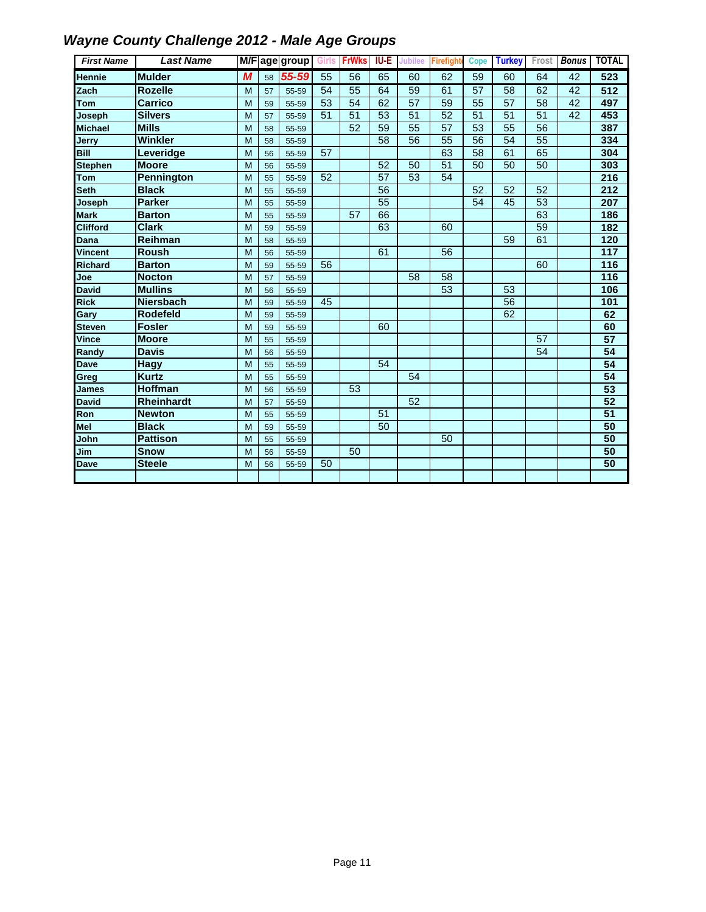| <b>First Name</b> | <b>Last Name</b> |   |    | M/Fage group | Girls | <b>FrWks</b> | <b>IU-E</b> | <b>Jubilee</b>  | <b>Firefight</b> | Cope            | <b>Turkey</b>   |                 | Frost Bonus     | <b>TOTAL</b>    |
|-------------------|------------------|---|----|--------------|-------|--------------|-------------|-----------------|------------------|-----------------|-----------------|-----------------|-----------------|-----------------|
| <b>Hennie</b>     | <b>Mulder</b>    | M | 58 | 55-59        | 55    | 56           | 65          | 60              | 62               | 59              | 60              | 64              | 42              | 523             |
| Zach              | <b>Rozelle</b>   | M | 57 | 55-59        | 54    | 55           | 64          | 59              | 61               | $\overline{57}$ | $\overline{58}$ | 62              | 42              | 512             |
| Tom               | Carrico          | M | 59 | 55-59        | 53    | 54           | 62          | 57              | 59               | 55              | 57              | 58              | 42              | 497             |
| Joseph            | <b>Silvers</b>   | M | 57 | 55-59        | 51    | 51           | 53          | 51              | 52               | 51              | 51              | 51              | $\overline{42}$ | 453             |
| <b>Michael</b>    | <b>Mills</b>     | M | 58 | 55-59        |       | 52           | 59          | $\overline{55}$ | $\overline{57}$  | $\overline{53}$ | $\overline{55}$ | 56              |                 | 387             |
| Jerry             | Winkler          | M | 58 | 55-59        |       |              | 58          | 56              | $\overline{55}$  | $\overline{56}$ | 54              | $\overline{55}$ |                 | 334             |
| <b>Bill</b>       | Leveridge        | M | 56 | 55-59        | 57    |              |             |                 | 63               | 58              | 61              | 65              |                 | 304             |
| <b>Stephen</b>    | <b>Moore</b>     | M | 56 | 55-59        |       |              | 52          | 50              | $\overline{51}$  | 50              | 50              | 50              |                 | 303             |
| <b>Tom</b>        | Pennington       | M | 55 | 55-59        | 52    |              | 57          | 53              | 54               |                 |                 |                 |                 | 216             |
| <b>Seth</b>       | <b>Black</b>     | M | 55 | 55-59        |       |              | 56          |                 |                  | 52              | 52              | 52              |                 | 212             |
| Joseph            | <b>Parker</b>    | M | 55 | 55-59        |       |              | 55          |                 |                  | 54              | 45              | 53              |                 | 207             |
| <b>Mark</b>       | <b>Barton</b>    | M | 55 | 55-59        |       | 57           | 66          |                 |                  |                 |                 | 63              |                 | 186             |
| <b>Clifford</b>   | <b>Clark</b>     | M | 59 | 55-59        |       |              | 63          |                 | 60               |                 |                 | 59              |                 | 182             |
| Dana              | Reihman          | M | 58 | 55-59        |       |              |             |                 |                  |                 | 59              | 61              |                 | 120             |
| <b>Vincent</b>    | <b>Roush</b>     | M | 56 | 55-59        |       |              | 61          |                 | 56               |                 |                 |                 |                 | 117             |
| <b>Richard</b>    | <b>Barton</b>    | M | 59 | 55-59        | 56    |              |             |                 |                  |                 |                 | 60              |                 | 116             |
| Joe               | <b>Nocton</b>    | M | 57 | 55-59        |       |              |             | 58              | $\overline{58}$  |                 |                 |                 |                 | 116             |
| <b>David</b>      | <b>Mullins</b>   | M | 56 | 55-59        |       |              |             |                 | 53               |                 | 53              |                 |                 | 106             |
| <b>Rick</b>       | <b>Niersbach</b> | M | 59 | 55-59        | 45    |              |             |                 |                  |                 | $\overline{56}$ |                 |                 | 101             |
| Gary              | <b>Rodefeld</b>  | M | 59 | 55-59        |       |              |             |                 |                  |                 | 62              |                 |                 | 62              |
| <b>Steven</b>     | <b>Fosler</b>    | M | 59 | 55-59        |       |              | 60          |                 |                  |                 |                 |                 |                 | 60              |
| Vince             | <b>Moore</b>     | M | 55 | 55-59        |       |              |             |                 |                  |                 |                 | 57              |                 | 57              |
| Randy             | <b>Davis</b>     | M | 56 | 55-59        |       |              |             |                 |                  |                 |                 | 54              |                 | 54              |
| <b>Dave</b>       | <b>Hagy</b>      | M | 55 | 55-59        |       |              | 54          |                 |                  |                 |                 |                 |                 | 54              |
| Greg              | <b>Kurtz</b>     | M | 55 | 55-59        |       |              |             | 54              |                  |                 |                 |                 |                 | 54              |
| <b>James</b>      | <b>Hoffman</b>   | M | 56 | 55-59        |       | 53           |             |                 |                  |                 |                 |                 |                 | 53              |
| <b>David</b>      | Rheinhardt       | M | 57 | 55-59        |       |              |             | 52              |                  |                 |                 |                 |                 | 52              |
| Ron               | <b>Newton</b>    | M | 55 | 55-59        |       |              | 51          |                 |                  |                 |                 |                 |                 | $\overline{51}$ |
| Mel               | <b>Black</b>     | M | 59 | 55-59        |       |              | 50          |                 |                  |                 |                 |                 |                 | 50              |
| John              | <b>Pattison</b>  | M | 55 | 55-59        |       |              |             |                 | 50               |                 |                 |                 |                 | 50              |
| Jim               | <b>Snow</b>      | M | 56 | 55-59        |       | 50           |             |                 |                  |                 |                 |                 |                 | 50              |
| <b>Dave</b>       | <b>Steele</b>    | M | 56 | 55-59        | 50    |              |             |                 |                  |                 |                 |                 |                 | 50              |
|                   |                  |   |    |              |       |              |             |                 |                  |                 |                 |                 |                 |                 |